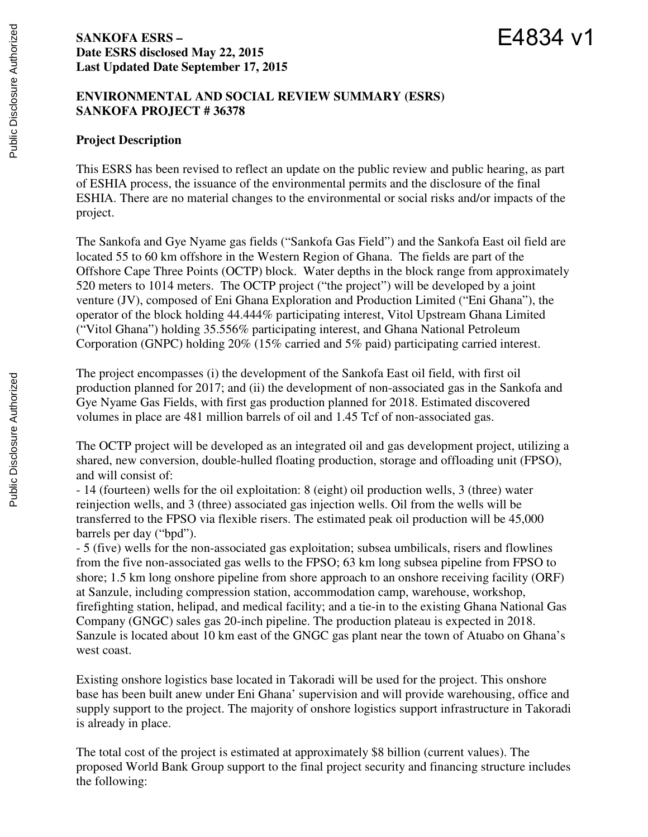# **SANKOFA ESRS – Date ESRS disclosed May 22, 2015 Last Updated Date September 17, 2015**

# E4834 v1

# **ENVIRONMENTAL AND SOCIAL REVIEW SUMMARY (ESRS) SANKOFA PROJECT # 36378**

# **Project Description**

This ESRS has been revised to reflect an update on the public review and public hearing, as part of ESHIA process, the issuance of the environmental permits and the disclosure of the final ESHIA. There are no material changes to the environmental or social risks and/or impacts of the project.

The Sankofa and Gye Nyame gas fields ("Sankofa Gas Field") and the Sankofa East oil field are located 55 to 60 km offshore in the Western Region of Ghana. The fields are part of the Offshore Cape Three Points (OCTP) block. Water depths in the block range from approximately 520 meters to 1014 meters. The OCTP project ("the project") will be developed by a joint venture (JV), composed of Eni Ghana Exploration and Production Limited ("Eni Ghana"), the operator of the block holding 44.444% participating interest, Vitol Upstream Ghana Limited ("Vitol Ghana") holding 35.556% participating interest, and Ghana National Petroleum Corporation (GNPC) holding 20% (15% carried and 5% paid) participating carried interest.

The project encompasses (i) the development of the Sankofa East oil field, with first oil production planned for 2017; and (ii) the development of non-associated gas in the Sankofa and Gye Nyame Gas Fields, with first gas production planned for 2018. Estimated discovered volumes in place are 481 million barrels of oil and 1.45 Tcf of non-associated gas.

The OCTP project will be developed as an integrated oil and gas development project, utilizing a shared, new conversion, double-hulled floating production, storage and offloading unit (FPSO), and will consist of:

- 14 (fourteen) wells for the oil exploitation: 8 (eight) oil production wells, 3 (three) water reinjection wells, and 3 (three) associated gas injection wells. Oil from the wells will be transferred to the FPSO via flexible risers. The estimated peak oil production will be 45,000 barrels per day ("bpd").

- 5 (five) wells for the non-associated gas exploitation; subsea umbilicals, risers and flowlines from the five non-associated gas wells to the FPSO; 63 km long subsea pipeline from FPSO to shore; 1.5 km long onshore pipeline from shore approach to an onshore receiving facility (ORF) at Sanzule, including compression station, accommodation camp, warehouse, workshop, firefighting station, helipad, and medical facility; and a tie-in to the existing Ghana National Gas Company (GNGC) sales gas 20-inch pipeline. The production plateau is expected in 2018. Sanzule is located about 10 km east of the GNGC gas plant near the town of Atuabo on Ghana's west coast.

Existing onshore logistics base located in Takoradi will be used for the project. This onshore base has been built anew under Eni Ghana' supervision and will provide warehousing, office and supply support to the project. The majority of onshore logistics support infrastructure in Takoradi is already in place.

The total cost of the project is estimated at approximately \$8 billion (current values). The proposed World Bank Group support to the final project security and financing structure includes the following: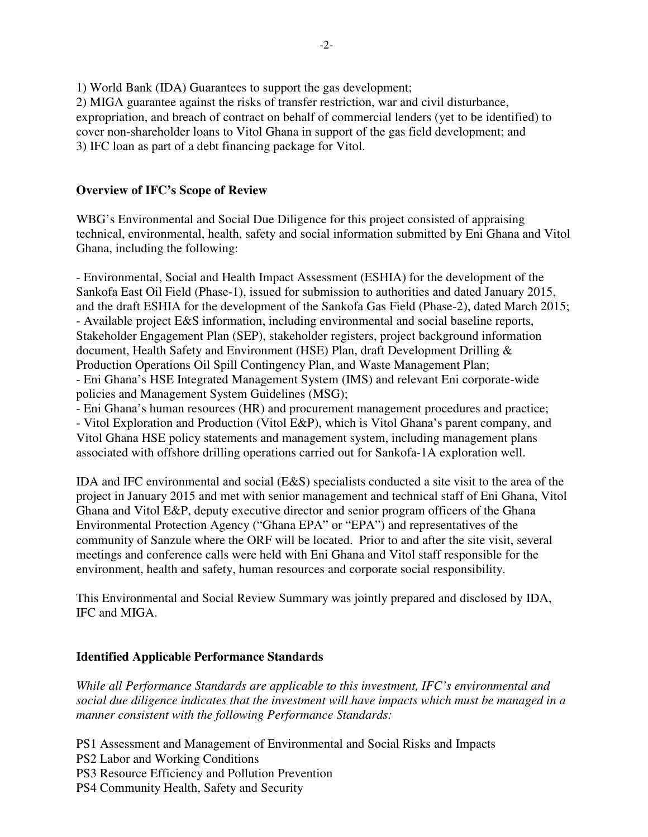1) World Bank (IDA) Guarantees to support the gas development;

2) MIGA guarantee against the risks of transfer restriction, war and civil disturbance, expropriation, and breach of contract on behalf of commercial lenders (yet to be identified) to cover non-shareholder loans to Vitol Ghana in support of the gas field development; and 3) IFC loan as part of a debt financing package for Vitol.

# **Overview of IFC's Scope of Review**

WBG's Environmental and Social Due Diligence for this project consisted of appraising technical, environmental, health, safety and social information submitted by Eni Ghana and Vitol Ghana, including the following:

- Environmental, Social and Health Impact Assessment (ESHIA) for the development of the Sankofa East Oil Field (Phase-1), issued for submission to authorities and dated January 2015, and the draft ESHIA for the development of the Sankofa Gas Field (Phase-2), dated March 2015; - Available project E&S information, including environmental and social baseline reports, Stakeholder Engagement Plan (SEP), stakeholder registers, project background information document, Health Safety and Environment (HSE) Plan, draft Development Drilling & Production Operations Oil Spill Contingency Plan, and Waste Management Plan; - Eni Ghana's HSE Integrated Management System (IMS) and relevant Eni corporate-wide policies and Management System Guidelines (MSG);

- Eni Ghana's human resources (HR) and procurement management procedures and practice; - Vitol Exploration and Production (Vitol E&P), which is Vitol Ghana's parent company, and Vitol Ghana HSE policy statements and management system, including management plans associated with offshore drilling operations carried out for Sankofa-1A exploration well.

IDA and IFC environmental and social (E&S) specialists conducted a site visit to the area of the project in January 2015 and met with senior management and technical staff of Eni Ghana, Vitol Ghana and Vitol E&P, deputy executive director and senior program officers of the Ghana Environmental Protection Agency ("Ghana EPA" or "EPA") and representatives of the community of Sanzule where the ORF will be located. Prior to and after the site visit, several meetings and conference calls were held with Eni Ghana and Vitol staff responsible for the environment, health and safety, human resources and corporate social responsibility.

This Environmental and Social Review Summary was jointly prepared and disclosed by IDA, IFC and MIGA.

# **Identified Applicable Performance Standards**

*While all Performance Standards are applicable to this investment, IFC's environmental and social due diligence indicates that the investment will have impacts which must be managed in a manner consistent with the following Performance Standards:* 

PS1 Assessment and Management of Environmental and Social Risks and Impacts

PS2 Labor and Working Conditions

PS3 Resource Efficiency and Pollution Prevention

PS4 Community Health, Safety and Security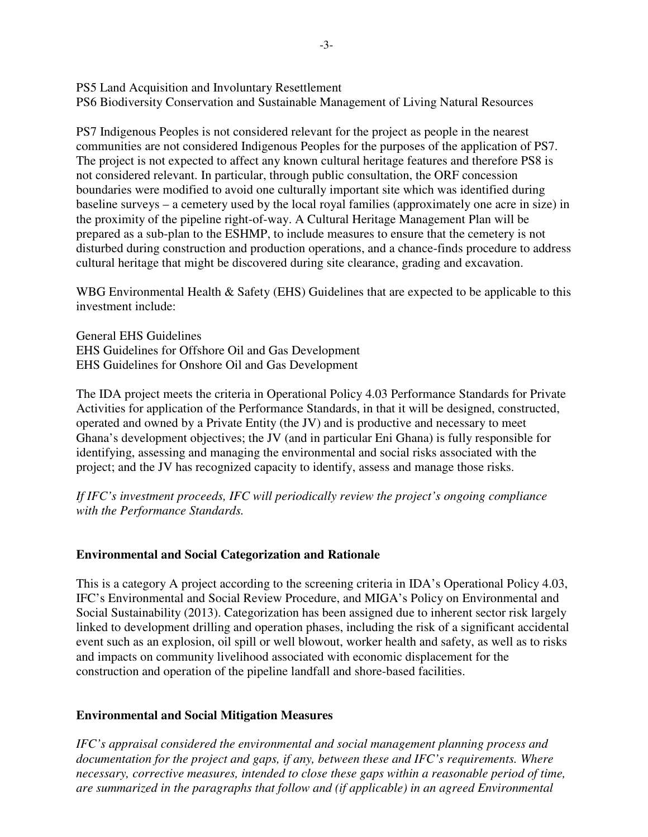PS5 Land Acquisition and Involuntary Resettlement PS6 Biodiversity Conservation and Sustainable Management of Living Natural Resources

PS7 Indigenous Peoples is not considered relevant for the project as people in the nearest communities are not considered Indigenous Peoples for the purposes of the application of PS7. The project is not expected to affect any known cultural heritage features and therefore PS8 is not considered relevant. In particular, through public consultation, the ORF concession boundaries were modified to avoid one culturally important site which was identified during baseline surveys – a cemetery used by the local royal families (approximately one acre in size) in the proximity of the pipeline right-of-way. A Cultural Heritage Management Plan will be prepared as a sub-plan to the ESHMP, to include measures to ensure that the cemetery is not disturbed during construction and production operations, and a chance-finds procedure to address cultural heritage that might be discovered during site clearance, grading and excavation.

WBG Environmental Health & Safety (EHS) Guidelines that are expected to be applicable to this investment include:

General EHS Guidelines EHS Guidelines for Offshore Oil and Gas Development EHS Guidelines for Onshore Oil and Gas Development

The IDA project meets the criteria in Operational Policy 4.03 Performance Standards for Private Activities for application of the Performance Standards, in that it will be designed, constructed, operated and owned by a Private Entity (the JV) and is productive and necessary to meet Ghana's development objectives; the JV (and in particular Eni Ghana) is fully responsible for identifying, assessing and managing the environmental and social risks associated with the project; and the JV has recognized capacity to identify, assess and manage those risks.

*If IFC's investment proceeds, IFC will periodically review the project's ongoing compliance with the Performance Standards.* 

#### **Environmental and Social Categorization and Rationale**

This is a category A project according to the screening criteria in IDA's Operational Policy 4.03, IFC's Environmental and Social Review Procedure, and MIGA's Policy on Environmental and Social Sustainability (2013). Categorization has been assigned due to inherent sector risk largely linked to development drilling and operation phases, including the risk of a significant accidental event such as an explosion, oil spill or well blowout, worker health and safety, as well as to risks and impacts on community livelihood associated with economic displacement for the construction and operation of the pipeline landfall and shore-based facilities.

#### **Environmental and Social Mitigation Measures**

*IFC's appraisal considered the environmental and social management planning process and documentation for the project and gaps, if any, between these and IFC's requirements. Where necessary, corrective measures, intended to close these gaps within a reasonable period of time, are summarized in the paragraphs that follow and (if applicable) in an agreed Environmental*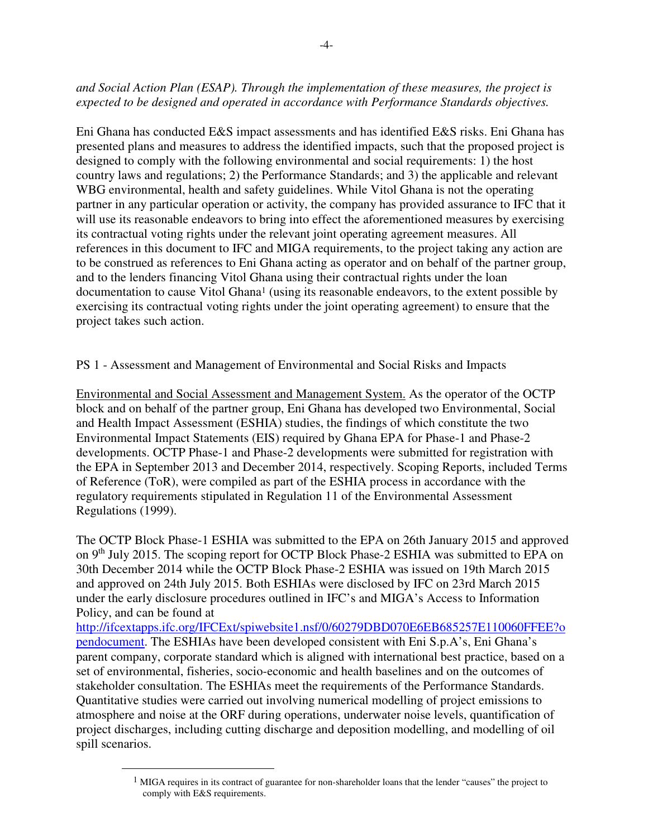## *and Social Action Plan (ESAP). Through the implementation of these measures, the project is expected to be designed and operated in accordance with Performance Standards objectives.*

Eni Ghana has conducted E&S impact assessments and has identified E&S risks. Eni Ghana has presented plans and measures to address the identified impacts, such that the proposed project is designed to comply with the following environmental and social requirements: 1) the host country laws and regulations; 2) the Performance Standards; and 3) the applicable and relevant WBG environmental, health and safety guidelines. While Vitol Ghana is not the operating partner in any particular operation or activity, the company has provided assurance to IFC that it will use its reasonable endeavors to bring into effect the aforementioned measures by exercising its contractual voting rights under the relevant joint operating agreement measures. All references in this document to IFC and MIGA requirements, to the project taking any action are to be construed as references to Eni Ghana acting as operator and on behalf of the partner group, and to the lenders financing Vitol Ghana using their contractual rights under the loan documentation to cause Vitol Ghana<sup>1</sup> (using its reasonable endeavors, to the extent possible by exercising its contractual voting rights under the joint operating agreement) to ensure that the project takes such action.

PS 1 - Assessment and Management of Environmental and Social Risks and Impacts

Environmental and Social Assessment and Management System. As the operator of the OCTP block and on behalf of the partner group, Eni Ghana has developed two Environmental, Social and Health Impact Assessment (ESHIA) studies, the findings of which constitute the two Environmental Impact Statements (EIS) required by Ghana EPA for Phase-1 and Phase-2 developments. OCTP Phase-1 and Phase-2 developments were submitted for registration with the EPA in September 2013 and December 2014, respectively. Scoping Reports, included Terms of Reference (ToR), were compiled as part of the ESHIA process in accordance with the regulatory requirements stipulated in Regulation 11 of the Environmental Assessment Regulations (1999).

The OCTP Block Phase-1 ESHIA was submitted to the EPA on 26th January 2015 and approved on 9<sup>th</sup> July 2015. The scoping report for OCTP Block Phase-2 ESHIA was submitted to EPA on 30th December 2014 while the OCTP Block Phase-2 ESHIA was issued on 19th March 2015 and approved on 24th July 2015. Both ESHIAs were disclosed by IFC on 23rd March 2015 under the early disclosure procedures outlined in IFC's and MIGA's Access to Information Policy, and can be found at

http://ifcextapps.ifc.org/IFCExt/spiwebsite1.nsf/0/60279DBD070E6EB685257E110060FFEE?o pendocument. The ESHIAs have been developed consistent with Eni S.p.A's, Eni Ghana's parent company, corporate standard which is aligned with international best practice, based on a set of environmental, fisheries, socio-economic and health baselines and on the outcomes of stakeholder consultation. The ESHIAs meet the requirements of the Performance Standards. Quantitative studies were carried out involving numerical modelling of project emissions to atmosphere and noise at the ORF during operations, underwater noise levels, quantification of project discharges, including cutting discharge and deposition modelling, and modelling of oil spill scenarios.

 $\overline{a}$ 

 $<sup>1</sup>$  MIGA requires in its contract of guarantee for non-shareholder loans that the lender "causes" the project to</sup> comply with E&S requirements.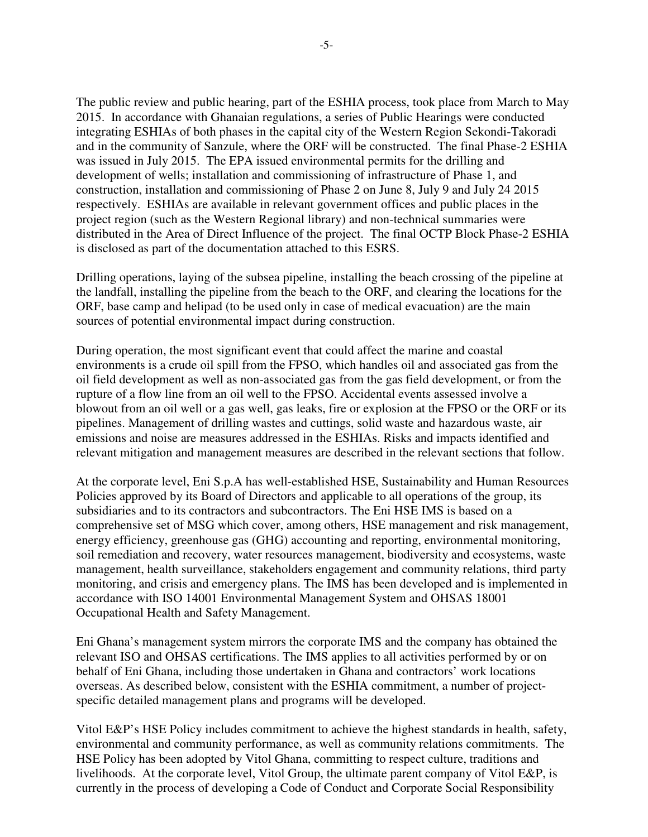The public review and public hearing, part of the ESHIA process, took place from March to May 2015. In accordance with Ghanaian regulations, a series of Public Hearings were conducted integrating ESHIAs of both phases in the capital city of the Western Region Sekondi-Takoradi and in the community of Sanzule, where the ORF will be constructed. The final Phase-2 ESHIA was issued in July 2015. The EPA issued environmental permits for the drilling and development of wells; installation and commissioning of infrastructure of Phase 1, and construction, installation and commissioning of Phase 2 on June 8, July 9 and July 24 2015 respectively. ESHIAs are available in relevant government offices and public places in the project region (such as the Western Regional library) and non-technical summaries were distributed in the Area of Direct Influence of the project. The final OCTP Block Phase-2 ESHIA is disclosed as part of the documentation attached to this ESRS.

Drilling operations, laying of the subsea pipeline, installing the beach crossing of the pipeline at the landfall, installing the pipeline from the beach to the ORF, and clearing the locations for the ORF, base camp and helipad (to be used only in case of medical evacuation) are the main sources of potential environmental impact during construction.

During operation, the most significant event that could affect the marine and coastal environments is a crude oil spill from the FPSO, which handles oil and associated gas from the oil field development as well as non-associated gas from the gas field development, or from the rupture of a flow line from an oil well to the FPSO. Accidental events assessed involve a blowout from an oil well or a gas well, gas leaks, fire or explosion at the FPSO or the ORF or its pipelines. Management of drilling wastes and cuttings, solid waste and hazardous waste, air emissions and noise are measures addressed in the ESHIAs. Risks and impacts identified and relevant mitigation and management measures are described in the relevant sections that follow.

At the corporate level, Eni S.p.A has well-established HSE, Sustainability and Human Resources Policies approved by its Board of Directors and applicable to all operations of the group, its subsidiaries and to its contractors and subcontractors. The Eni HSE IMS is based on a comprehensive set of MSG which cover, among others, HSE management and risk management, energy efficiency, greenhouse gas (GHG) accounting and reporting, environmental monitoring, soil remediation and recovery, water resources management, biodiversity and ecosystems, waste management, health surveillance, stakeholders engagement and community relations, third party monitoring, and crisis and emergency plans. The IMS has been developed and is implemented in accordance with ISO 14001 Environmental Management System and OHSAS 18001 Occupational Health and Safety Management.

Eni Ghana's management system mirrors the corporate IMS and the company has obtained the relevant ISO and OHSAS certifications. The IMS applies to all activities performed by or on behalf of Eni Ghana, including those undertaken in Ghana and contractors' work locations overseas. As described below, consistent with the ESHIA commitment, a number of projectspecific detailed management plans and programs will be developed.

Vitol E&P's HSE Policy includes commitment to achieve the highest standards in health, safety, environmental and community performance, as well as community relations commitments. The HSE Policy has been adopted by Vitol Ghana, committing to respect culture, traditions and livelihoods. At the corporate level, Vitol Group, the ultimate parent company of Vitol E&P, is currently in the process of developing a Code of Conduct and Corporate Social Responsibility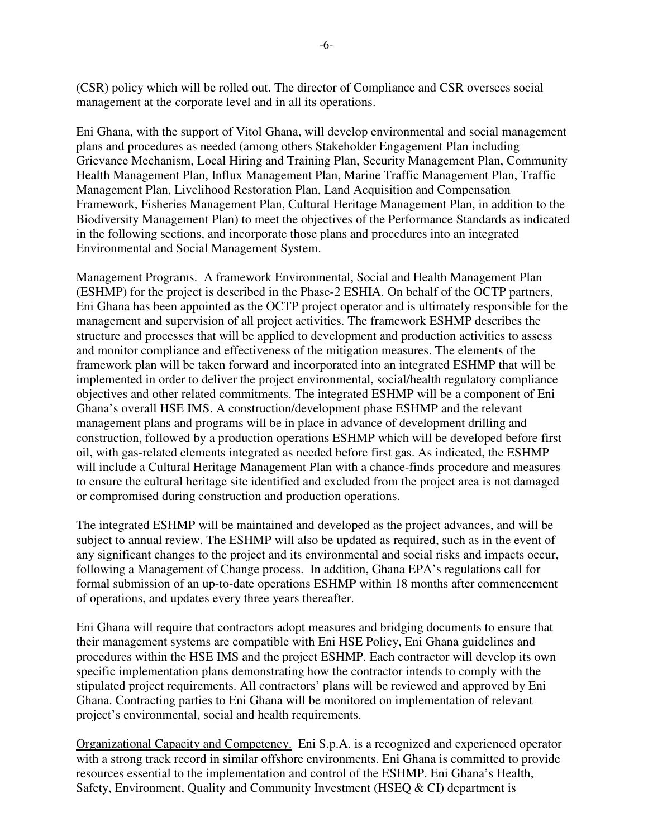(CSR) policy which will be rolled out. The director of Compliance and CSR oversees social management at the corporate level and in all its operations.

Eni Ghana, with the support of Vitol Ghana, will develop environmental and social management plans and procedures as needed (among others Stakeholder Engagement Plan including Grievance Mechanism, Local Hiring and Training Plan, Security Management Plan, Community Health Management Plan, Influx Management Plan, Marine Traffic Management Plan, Traffic Management Plan, Livelihood Restoration Plan, Land Acquisition and Compensation Framework, Fisheries Management Plan, Cultural Heritage Management Plan, in addition to the Biodiversity Management Plan) to meet the objectives of the Performance Standards as indicated in the following sections, and incorporate those plans and procedures into an integrated Environmental and Social Management System.

Management Programs. A framework Environmental, Social and Health Management Plan (ESHMP) for the project is described in the Phase-2 ESHIA. On behalf of the OCTP partners, Eni Ghana has been appointed as the OCTP project operator and is ultimately responsible for the management and supervision of all project activities. The framework ESHMP describes the structure and processes that will be applied to development and production activities to assess and monitor compliance and effectiveness of the mitigation measures. The elements of the framework plan will be taken forward and incorporated into an integrated ESHMP that will be implemented in order to deliver the project environmental, social/health regulatory compliance objectives and other related commitments. The integrated ESHMP will be a component of Eni Ghana's overall HSE IMS. A construction/development phase ESHMP and the relevant management plans and programs will be in place in advance of development drilling and construction, followed by a production operations ESHMP which will be developed before first oil, with gas-related elements integrated as needed before first gas. As indicated, the ESHMP will include a Cultural Heritage Management Plan with a chance-finds procedure and measures to ensure the cultural heritage site identified and excluded from the project area is not damaged or compromised during construction and production operations.

The integrated ESHMP will be maintained and developed as the project advances, and will be subject to annual review. The ESHMP will also be updated as required, such as in the event of any significant changes to the project and its environmental and social risks and impacts occur, following a Management of Change process. In addition, Ghana EPA's regulations call for formal submission of an up-to-date operations ESHMP within 18 months after commencement of operations, and updates every three years thereafter.

Eni Ghana will require that contractors adopt measures and bridging documents to ensure that their management systems are compatible with Eni HSE Policy, Eni Ghana guidelines and procedures within the HSE IMS and the project ESHMP. Each contractor will develop its own specific implementation plans demonstrating how the contractor intends to comply with the stipulated project requirements. All contractors' plans will be reviewed and approved by Eni Ghana. Contracting parties to Eni Ghana will be monitored on implementation of relevant project's environmental, social and health requirements.

Organizational Capacity and Competency. Eni S.p.A. is a recognized and experienced operator with a strong track record in similar offshore environments. Eni Ghana is committed to provide resources essential to the implementation and control of the ESHMP. Eni Ghana's Health, Safety, Environment, Quality and Community Investment (HSEQ & CI) department is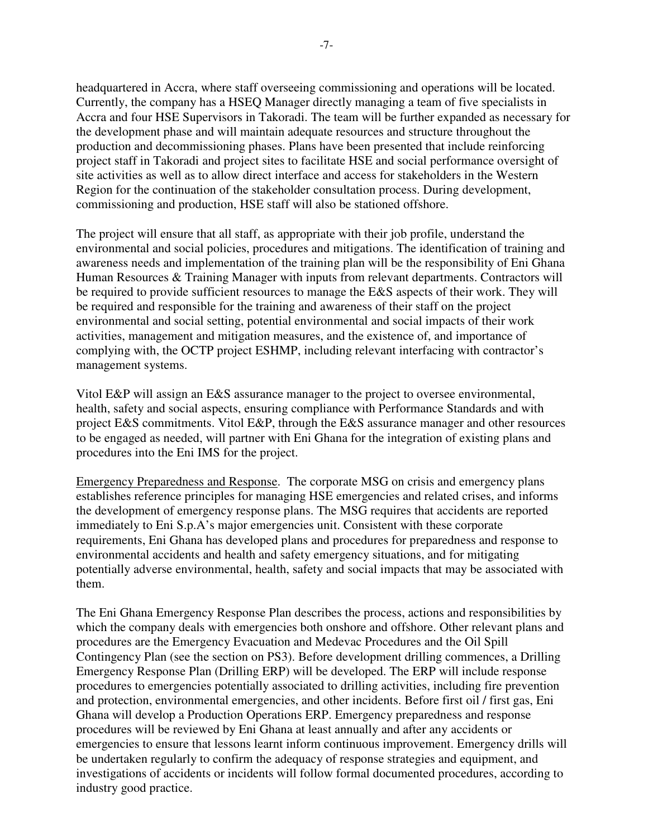headquartered in Accra, where staff overseeing commissioning and operations will be located. Currently, the company has a HSEQ Manager directly managing a team of five specialists in Accra and four HSE Supervisors in Takoradi. The team will be further expanded as necessary for the development phase and will maintain adequate resources and structure throughout the production and decommissioning phases. Plans have been presented that include reinforcing project staff in Takoradi and project sites to facilitate HSE and social performance oversight of site activities as well as to allow direct interface and access for stakeholders in the Western Region for the continuation of the stakeholder consultation process. During development, commissioning and production, HSE staff will also be stationed offshore.

The project will ensure that all staff, as appropriate with their job profile, understand the environmental and social policies, procedures and mitigations. The identification of training and awareness needs and implementation of the training plan will be the responsibility of Eni Ghana Human Resources & Training Manager with inputs from relevant departments. Contractors will be required to provide sufficient resources to manage the E&S aspects of their work. They will be required and responsible for the training and awareness of their staff on the project environmental and social setting, potential environmental and social impacts of their work activities, management and mitigation measures, and the existence of, and importance of complying with, the OCTP project ESHMP, including relevant interfacing with contractor's management systems.

Vitol E&P will assign an E&S assurance manager to the project to oversee environmental, health, safety and social aspects, ensuring compliance with Performance Standards and with project E&S commitments. Vitol E&P, through the E&S assurance manager and other resources to be engaged as needed, will partner with Eni Ghana for the integration of existing plans and procedures into the Eni IMS for the project.

Emergency Preparedness and Response. The corporate MSG on crisis and emergency plans establishes reference principles for managing HSE emergencies and related crises, and informs the development of emergency response plans. The MSG requires that accidents are reported immediately to Eni S.p.A's major emergencies unit. Consistent with these corporate requirements, Eni Ghana has developed plans and procedures for preparedness and response to environmental accidents and health and safety emergency situations, and for mitigating potentially adverse environmental, health, safety and social impacts that may be associated with them.

The Eni Ghana Emergency Response Plan describes the process, actions and responsibilities by which the company deals with emergencies both onshore and offshore. Other relevant plans and procedures are the Emergency Evacuation and Medevac Procedures and the Oil Spill Contingency Plan (see the section on PS3). Before development drilling commences, a Drilling Emergency Response Plan (Drilling ERP) will be developed. The ERP will include response procedures to emergencies potentially associated to drilling activities, including fire prevention and protection, environmental emergencies, and other incidents. Before first oil / first gas, Eni Ghana will develop a Production Operations ERP. Emergency preparedness and response procedures will be reviewed by Eni Ghana at least annually and after any accidents or emergencies to ensure that lessons learnt inform continuous improvement. Emergency drills will be undertaken regularly to confirm the adequacy of response strategies and equipment, and investigations of accidents or incidents will follow formal documented procedures, according to industry good practice.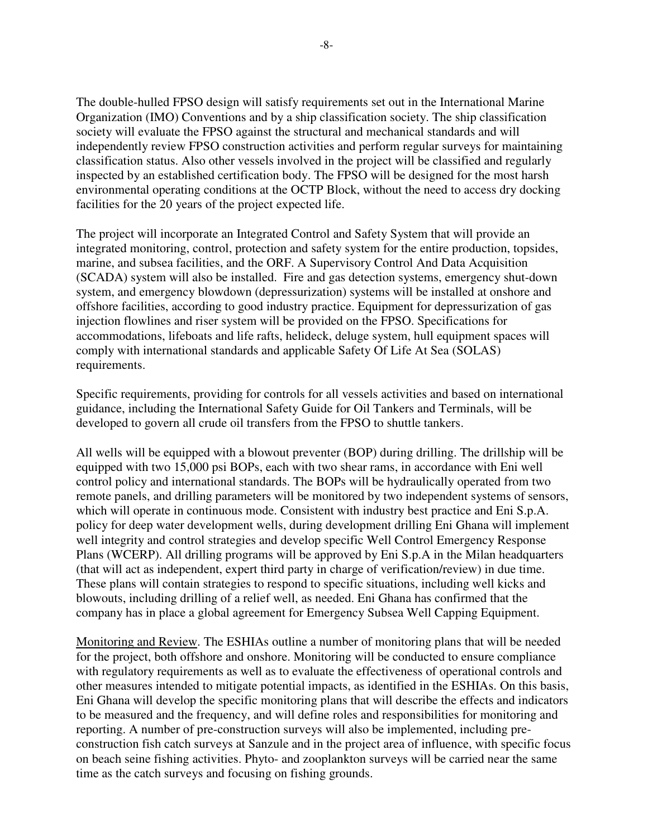The double-hulled FPSO design will satisfy requirements set out in the International Marine Organization (IMO) Conventions and by a ship classification society. The ship classification society will evaluate the FPSO against the structural and mechanical standards and will independently review FPSO construction activities and perform regular surveys for maintaining classification status. Also other vessels involved in the project will be classified and regularly inspected by an established certification body. The FPSO will be designed for the most harsh environmental operating conditions at the OCTP Block, without the need to access dry docking facilities for the 20 years of the project expected life.

The project will incorporate an Integrated Control and Safety System that will provide an integrated monitoring, control, protection and safety system for the entire production, topsides, marine, and subsea facilities, and the ORF. A Supervisory Control And Data Acquisition (SCADA) system will also be installed. Fire and gas detection systems, emergency shut-down system, and emergency blowdown (depressurization) systems will be installed at onshore and offshore facilities, according to good industry practice. Equipment for depressurization of gas injection flowlines and riser system will be provided on the FPSO. Specifications for accommodations, lifeboats and life rafts, helideck, deluge system, hull equipment spaces will comply with international standards and applicable Safety Of Life At Sea (SOLAS) requirements.

Specific requirements, providing for controls for all vessels activities and based on international guidance, including the International Safety Guide for Oil Tankers and Terminals, will be developed to govern all crude oil transfers from the FPSO to shuttle tankers.

All wells will be equipped with a blowout preventer (BOP) during drilling. The drillship will be equipped with two 15,000 psi BOPs, each with two shear rams, in accordance with Eni well control policy and international standards. The BOPs will be hydraulically operated from two remote panels, and drilling parameters will be monitored by two independent systems of sensors, which will operate in continuous mode. Consistent with industry best practice and Eni S.p.A. policy for deep water development wells, during development drilling Eni Ghana will implement well integrity and control strategies and develop specific Well Control Emergency Response Plans (WCERP). All drilling programs will be approved by Eni S.p.A in the Milan headquarters (that will act as independent, expert third party in charge of verification/review) in due time. These plans will contain strategies to respond to specific situations, including well kicks and blowouts, including drilling of a relief well, as needed. Eni Ghana has confirmed that the company has in place a global agreement for Emergency Subsea Well Capping Equipment.

Monitoring and Review. The ESHIAs outline a number of monitoring plans that will be needed for the project, both offshore and onshore. Monitoring will be conducted to ensure compliance with regulatory requirements as well as to evaluate the effectiveness of operational controls and other measures intended to mitigate potential impacts, as identified in the ESHIAs. On this basis, Eni Ghana will develop the specific monitoring plans that will describe the effects and indicators to be measured and the frequency, and will define roles and responsibilities for monitoring and reporting. A number of pre-construction surveys will also be implemented, including preconstruction fish catch surveys at Sanzule and in the project area of influence, with specific focus on beach seine fishing activities. Phyto- and zooplankton surveys will be carried near the same time as the catch surveys and focusing on fishing grounds.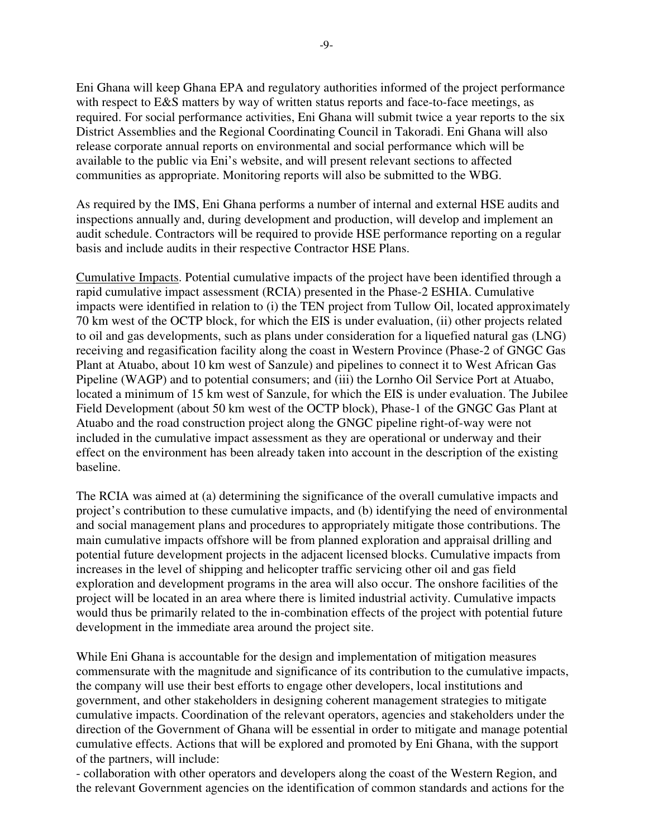Eni Ghana will keep Ghana EPA and regulatory authorities informed of the project performance with respect to E&S matters by way of written status reports and face-to-face meetings, as required. For social performance activities, Eni Ghana will submit twice a year reports to the six District Assemblies and the Regional Coordinating Council in Takoradi. Eni Ghana will also release corporate annual reports on environmental and social performance which will be available to the public via Eni's website, and will present relevant sections to affected communities as appropriate. Monitoring reports will also be submitted to the WBG.

As required by the IMS, Eni Ghana performs a number of internal and external HSE audits and inspections annually and, during development and production, will develop and implement an audit schedule. Contractors will be required to provide HSE performance reporting on a regular basis and include audits in their respective Contractor HSE Plans.

Cumulative Impacts. Potential cumulative impacts of the project have been identified through a rapid cumulative impact assessment (RCIA) presented in the Phase-2 ESHIA. Cumulative impacts were identified in relation to (i) the TEN project from Tullow Oil, located approximately 70 km west of the OCTP block, for which the EIS is under evaluation, (ii) other projects related to oil and gas developments, such as plans under consideration for a liquefied natural gas (LNG) receiving and regasification facility along the coast in Western Province (Phase-2 of GNGC Gas Plant at Atuabo, about 10 km west of Sanzule) and pipelines to connect it to West African Gas Pipeline (WAGP) and to potential consumers; and (iii) the Lornho Oil Service Port at Atuabo, located a minimum of 15 km west of Sanzule, for which the EIS is under evaluation. The Jubilee Field Development (about 50 km west of the OCTP block), Phase-1 of the GNGC Gas Plant at Atuabo and the road construction project along the GNGC pipeline right-of-way were not included in the cumulative impact assessment as they are operational or underway and their effect on the environment has been already taken into account in the description of the existing baseline.

The RCIA was aimed at (a) determining the significance of the overall cumulative impacts and project's contribution to these cumulative impacts, and (b) identifying the need of environmental and social management plans and procedures to appropriately mitigate those contributions. The main cumulative impacts offshore will be from planned exploration and appraisal drilling and potential future development projects in the adjacent licensed blocks. Cumulative impacts from increases in the level of shipping and helicopter traffic servicing other oil and gas field exploration and development programs in the area will also occur. The onshore facilities of the project will be located in an area where there is limited industrial activity. Cumulative impacts would thus be primarily related to the in-combination effects of the project with potential future development in the immediate area around the project site.

While Eni Ghana is accountable for the design and implementation of mitigation measures commensurate with the magnitude and significance of its contribution to the cumulative impacts, the company will use their best efforts to engage other developers, local institutions and government, and other stakeholders in designing coherent management strategies to mitigate cumulative impacts. Coordination of the relevant operators, agencies and stakeholders under the direction of the Government of Ghana will be essential in order to mitigate and manage potential cumulative effects. Actions that will be explored and promoted by Eni Ghana, with the support of the partners, will include:

- collaboration with other operators and developers along the coast of the Western Region, and the relevant Government agencies on the identification of common standards and actions for the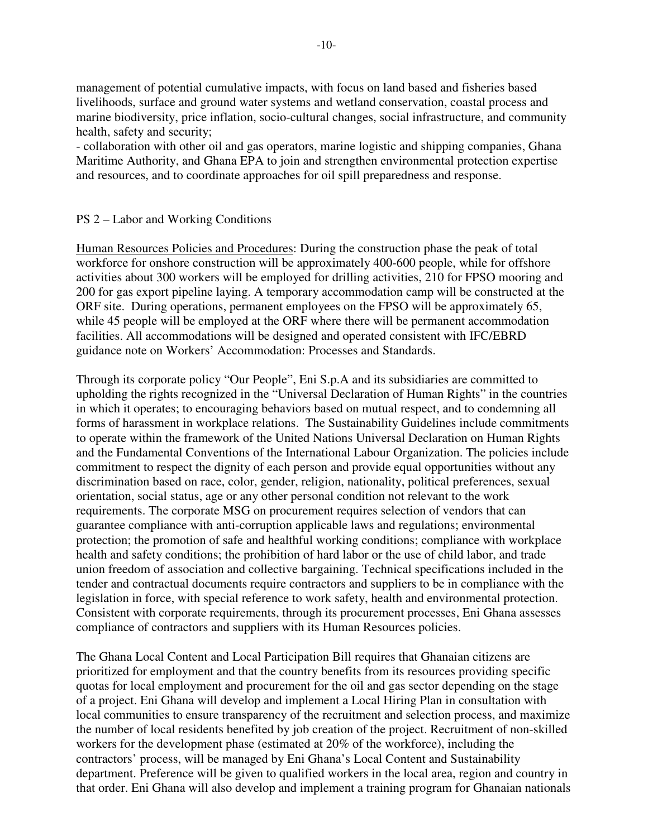management of potential cumulative impacts, with focus on land based and fisheries based livelihoods, surface and ground water systems and wetland conservation, coastal process and marine biodiversity, price inflation, socio-cultural changes, social infrastructure, and community health, safety and security;

- collaboration with other oil and gas operators, marine logistic and shipping companies, Ghana Maritime Authority, and Ghana EPA to join and strengthen environmental protection expertise and resources, and to coordinate approaches for oil spill preparedness and response.

### PS 2 – Labor and Working Conditions

Human Resources Policies and Procedures: During the construction phase the peak of total workforce for onshore construction will be approximately 400-600 people, while for offshore activities about 300 workers will be employed for drilling activities, 210 for FPSO mooring and 200 for gas export pipeline laying. A temporary accommodation camp will be constructed at the ORF site. During operations, permanent employees on the FPSO will be approximately 65, while 45 people will be employed at the ORF where there will be permanent accommodation facilities. All accommodations will be designed and operated consistent with IFC/EBRD guidance note on Workers' Accommodation: Processes and Standards.

Through its corporate policy "Our People", Eni S.p.A and its subsidiaries are committed to upholding the rights recognized in the "Universal Declaration of Human Rights" in the countries in which it operates; to encouraging behaviors based on mutual respect, and to condemning all forms of harassment in workplace relations. The Sustainability Guidelines include commitments to operate within the framework of the United Nations Universal Declaration on Human Rights and the Fundamental Conventions of the International Labour Organization. The policies include commitment to respect the dignity of each person and provide equal opportunities without any discrimination based on race, color, gender, religion, nationality, political preferences, sexual orientation, social status, age or any other personal condition not relevant to the work requirements. The corporate MSG on procurement requires selection of vendors that can guarantee compliance with anti-corruption applicable laws and regulations; environmental protection; the promotion of safe and healthful working conditions; compliance with workplace health and safety conditions; the prohibition of hard labor or the use of child labor, and trade union freedom of association and collective bargaining. Technical specifications included in the tender and contractual documents require contractors and suppliers to be in compliance with the legislation in force, with special reference to work safety, health and environmental protection. Consistent with corporate requirements, through its procurement processes, Eni Ghana assesses compliance of contractors and suppliers with its Human Resources policies.

The Ghana Local Content and Local Participation Bill requires that Ghanaian citizens are prioritized for employment and that the country benefits from its resources providing specific quotas for local employment and procurement for the oil and gas sector depending on the stage of a project. Eni Ghana will develop and implement a Local Hiring Plan in consultation with local communities to ensure transparency of the recruitment and selection process, and maximize the number of local residents benefited by job creation of the project. Recruitment of non-skilled workers for the development phase (estimated at 20% of the workforce), including the contractors' process, will be managed by Eni Ghana's Local Content and Sustainability department. Preference will be given to qualified workers in the local area, region and country in that order. Eni Ghana will also develop and implement a training program for Ghanaian nationals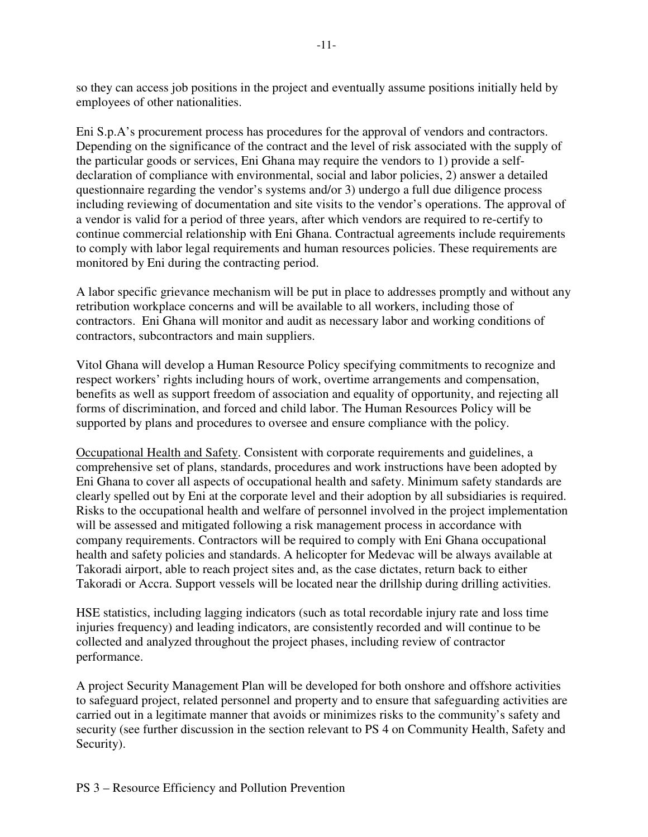so they can access job positions in the project and eventually assume positions initially held by employees of other nationalities.

Eni S.p.A's procurement process has procedures for the approval of vendors and contractors. Depending on the significance of the contract and the level of risk associated with the supply of the particular goods or services, Eni Ghana may require the vendors to 1) provide a selfdeclaration of compliance with environmental, social and labor policies, 2) answer a detailed questionnaire regarding the vendor's systems and/or 3) undergo a full due diligence process including reviewing of documentation and site visits to the vendor's operations. The approval of a vendor is valid for a period of three years, after which vendors are required to re-certify to continue commercial relationship with Eni Ghana. Contractual agreements include requirements to comply with labor legal requirements and human resources policies. These requirements are monitored by Eni during the contracting period.

A labor specific grievance mechanism will be put in place to addresses promptly and without any retribution workplace concerns and will be available to all workers, including those of contractors. Eni Ghana will monitor and audit as necessary labor and working conditions of contractors, subcontractors and main suppliers.

Vitol Ghana will develop a Human Resource Policy specifying commitments to recognize and respect workers' rights including hours of work, overtime arrangements and compensation, benefits as well as support freedom of association and equality of opportunity, and rejecting all forms of discrimination, and forced and child labor. The Human Resources Policy will be supported by plans and procedures to oversee and ensure compliance with the policy.

Occupational Health and Safety. Consistent with corporate requirements and guidelines, a comprehensive set of plans, standards, procedures and work instructions have been adopted by Eni Ghana to cover all aspects of occupational health and safety. Minimum safety standards are clearly spelled out by Eni at the corporate level and their adoption by all subsidiaries is required. Risks to the occupational health and welfare of personnel involved in the project implementation will be assessed and mitigated following a risk management process in accordance with company requirements. Contractors will be required to comply with Eni Ghana occupational health and safety policies and standards. A helicopter for Medevac will be always available at Takoradi airport, able to reach project sites and, as the case dictates, return back to either Takoradi or Accra. Support vessels will be located near the drillship during drilling activities.

HSE statistics, including lagging indicators (such as total recordable injury rate and loss time injuries frequency) and leading indicators, are consistently recorded and will continue to be collected and analyzed throughout the project phases, including review of contractor performance.

A project Security Management Plan will be developed for both onshore and offshore activities to safeguard project, related personnel and property and to ensure that safeguarding activities are carried out in a legitimate manner that avoids or minimizes risks to the community's safety and security (see further discussion in the section relevant to PS 4 on Community Health, Safety and Security).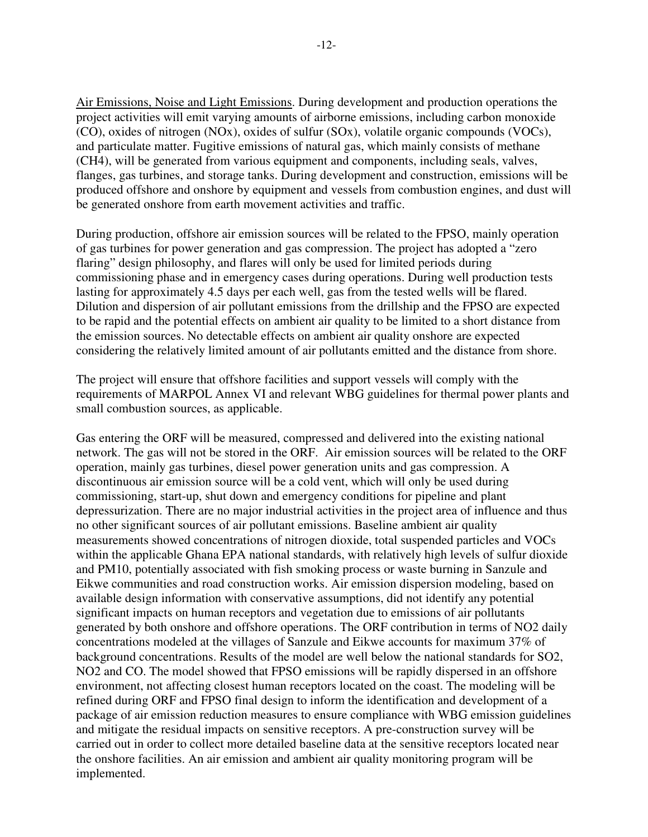Air Emissions, Noise and Light Emissions. During development and production operations the project activities will emit varying amounts of airborne emissions, including carbon monoxide (CO), oxides of nitrogen (NOx), oxides of sulfur (SOx), volatile organic compounds (VOCs), and particulate matter. Fugitive emissions of natural gas, which mainly consists of methane (CH4), will be generated from various equipment and components, including seals, valves, flanges, gas turbines, and storage tanks. During development and construction, emissions will be produced offshore and onshore by equipment and vessels from combustion engines, and dust will be generated onshore from earth movement activities and traffic.

During production, offshore air emission sources will be related to the FPSO, mainly operation of gas turbines for power generation and gas compression. The project has adopted a "zero flaring" design philosophy, and flares will only be used for limited periods during commissioning phase and in emergency cases during operations. During well production tests lasting for approximately 4.5 days per each well, gas from the tested wells will be flared. Dilution and dispersion of air pollutant emissions from the drillship and the FPSO are expected to be rapid and the potential effects on ambient air quality to be limited to a short distance from the emission sources. No detectable effects on ambient air quality onshore are expected considering the relatively limited amount of air pollutants emitted and the distance from shore.

The project will ensure that offshore facilities and support vessels will comply with the requirements of MARPOL Annex VI and relevant WBG guidelines for thermal power plants and small combustion sources, as applicable.

Gas entering the ORF will be measured, compressed and delivered into the existing national network. The gas will not be stored in the ORF. Air emission sources will be related to the ORF operation, mainly gas turbines, diesel power generation units and gas compression. A discontinuous air emission source will be a cold vent, which will only be used during commissioning, start-up, shut down and emergency conditions for pipeline and plant depressurization. There are no major industrial activities in the project area of influence and thus no other significant sources of air pollutant emissions. Baseline ambient air quality measurements showed concentrations of nitrogen dioxide, total suspended particles and VOCs within the applicable Ghana EPA national standards, with relatively high levels of sulfur dioxide and PM10, potentially associated with fish smoking process or waste burning in Sanzule and Eikwe communities and road construction works. Air emission dispersion modeling, based on available design information with conservative assumptions, did not identify any potential significant impacts on human receptors and vegetation due to emissions of air pollutants generated by both onshore and offshore operations. The ORF contribution in terms of NO2 daily concentrations modeled at the villages of Sanzule and Eikwe accounts for maximum 37% of background concentrations. Results of the model are well below the national standards for SO2, NO2 and CO. The model showed that FPSO emissions will be rapidly dispersed in an offshore environment, not affecting closest human receptors located on the coast. The modeling will be refined during ORF and FPSO final design to inform the identification and development of a package of air emission reduction measures to ensure compliance with WBG emission guidelines and mitigate the residual impacts on sensitive receptors. A pre-construction survey will be carried out in order to collect more detailed baseline data at the sensitive receptors located near the onshore facilities. An air emission and ambient air quality monitoring program will be implemented.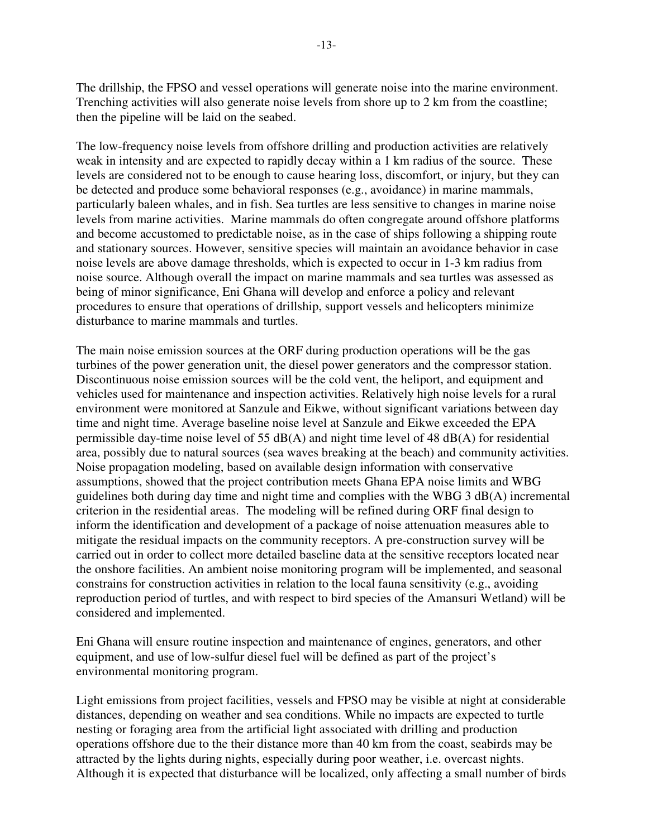The drillship, the FPSO and vessel operations will generate noise into the marine environment. Trenching activities will also generate noise levels from shore up to 2 km from the coastline; then the pipeline will be laid on the seabed.

The low-frequency noise levels from offshore drilling and production activities are relatively weak in intensity and are expected to rapidly decay within a 1 km radius of the source. These levels are considered not to be enough to cause hearing loss, discomfort, or injury, but they can be detected and produce some behavioral responses (e.g., avoidance) in marine mammals, particularly baleen whales, and in fish. Sea turtles are less sensitive to changes in marine noise levels from marine activities. Marine mammals do often congregate around offshore platforms and become accustomed to predictable noise, as in the case of ships following a shipping route and stationary sources. However, sensitive species will maintain an avoidance behavior in case noise levels are above damage thresholds, which is expected to occur in 1-3 km radius from noise source. Although overall the impact on marine mammals and sea turtles was assessed as being of minor significance, Eni Ghana will develop and enforce a policy and relevant procedures to ensure that operations of drillship, support vessels and helicopters minimize disturbance to marine mammals and turtles.

The main noise emission sources at the ORF during production operations will be the gas turbines of the power generation unit, the diesel power generators and the compressor station. Discontinuous noise emission sources will be the cold vent, the heliport, and equipment and vehicles used for maintenance and inspection activities. Relatively high noise levels for a rural environment were monitored at Sanzule and Eikwe, without significant variations between day time and night time. Average baseline noise level at Sanzule and Eikwe exceeded the EPA permissible day-time noise level of 55  $dB(A)$  and night time level of 48  $dB(A)$  for residential area, possibly due to natural sources (sea waves breaking at the beach) and community activities. Noise propagation modeling, based on available design information with conservative assumptions, showed that the project contribution meets Ghana EPA noise limits and WBG guidelines both during day time and night time and complies with the WBG 3 dB(A) incremental criterion in the residential areas. The modeling will be refined during ORF final design to inform the identification and development of a package of noise attenuation measures able to mitigate the residual impacts on the community receptors. A pre-construction survey will be carried out in order to collect more detailed baseline data at the sensitive receptors located near the onshore facilities. An ambient noise monitoring program will be implemented, and seasonal constrains for construction activities in relation to the local fauna sensitivity (e.g., avoiding reproduction period of turtles, and with respect to bird species of the Amansuri Wetland) will be considered and implemented.

Eni Ghana will ensure routine inspection and maintenance of engines, generators, and other equipment, and use of low-sulfur diesel fuel will be defined as part of the project's environmental monitoring program.

Light emissions from project facilities, vessels and FPSO may be visible at night at considerable distances, depending on weather and sea conditions. While no impacts are expected to turtle nesting or foraging area from the artificial light associated with drilling and production operations offshore due to the their distance more than 40 km from the coast, seabirds may be attracted by the lights during nights, especially during poor weather, i.e. overcast nights. Although it is expected that disturbance will be localized, only affecting a small number of birds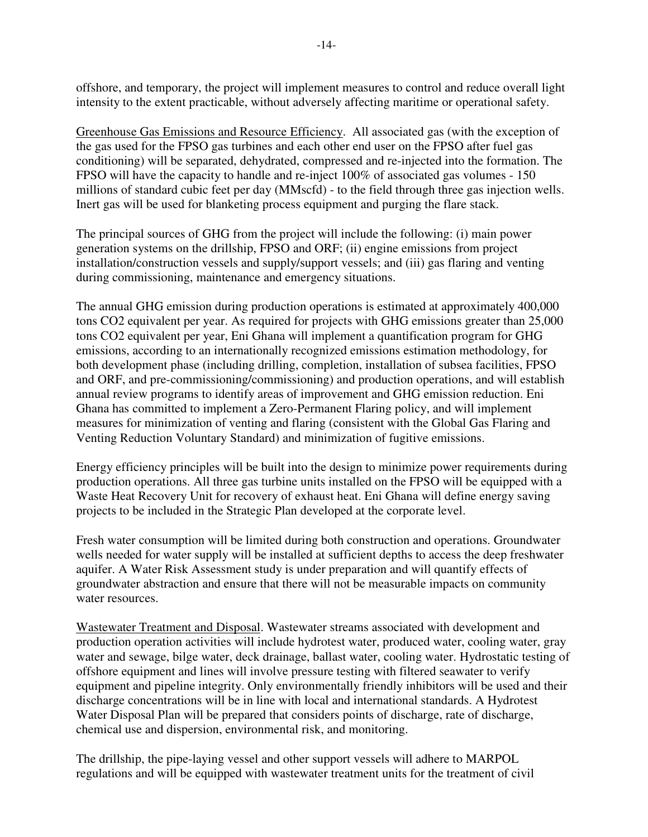offshore, and temporary, the project will implement measures to control and reduce overall light intensity to the extent practicable, without adversely affecting maritime or operational safety.

Greenhouse Gas Emissions and Resource Efficiency. All associated gas (with the exception of the gas used for the FPSO gas turbines and each other end user on the FPSO after fuel gas conditioning) will be separated, dehydrated, compressed and re-injected into the formation. The FPSO will have the capacity to handle and re-inject 100% of associated gas volumes - 150 millions of standard cubic feet per day (MMscfd) - to the field through three gas injection wells. Inert gas will be used for blanketing process equipment and purging the flare stack.

The principal sources of GHG from the project will include the following: (i) main power generation systems on the drillship, FPSO and ORF; (ii) engine emissions from project installation/construction vessels and supply/support vessels; and (iii) gas flaring and venting during commissioning, maintenance and emergency situations.

The annual GHG emission during production operations is estimated at approximately 400,000 tons CO2 equivalent per year. As required for projects with GHG emissions greater than 25,000 tons CO2 equivalent per year, Eni Ghana will implement a quantification program for GHG emissions, according to an internationally recognized emissions estimation methodology, for both development phase (including drilling, completion, installation of subsea facilities, FPSO and ORF, and pre-commissioning/commissioning) and production operations, and will establish annual review programs to identify areas of improvement and GHG emission reduction. Eni Ghana has committed to implement a Zero-Permanent Flaring policy, and will implement measures for minimization of venting and flaring (consistent with the Global Gas Flaring and Venting Reduction Voluntary Standard) and minimization of fugitive emissions.

Energy efficiency principles will be built into the design to minimize power requirements during production operations. All three gas turbine units installed on the FPSO will be equipped with a Waste Heat Recovery Unit for recovery of exhaust heat. Eni Ghana will define energy saving projects to be included in the Strategic Plan developed at the corporate level.

Fresh water consumption will be limited during both construction and operations. Groundwater wells needed for water supply will be installed at sufficient depths to access the deep freshwater aquifer. A Water Risk Assessment study is under preparation and will quantify effects of groundwater abstraction and ensure that there will not be measurable impacts on community water resources.

Wastewater Treatment and Disposal. Wastewater streams associated with development and production operation activities will include hydrotest water, produced water, cooling water, gray water and sewage, bilge water, deck drainage, ballast water, cooling water. Hydrostatic testing of offshore equipment and lines will involve pressure testing with filtered seawater to verify equipment and pipeline integrity. Only environmentally friendly inhibitors will be used and their discharge concentrations will be in line with local and international standards. A Hydrotest Water Disposal Plan will be prepared that considers points of discharge, rate of discharge, chemical use and dispersion, environmental risk, and monitoring.

The drillship, the pipe-laying vessel and other support vessels will adhere to MARPOL regulations and will be equipped with wastewater treatment units for the treatment of civil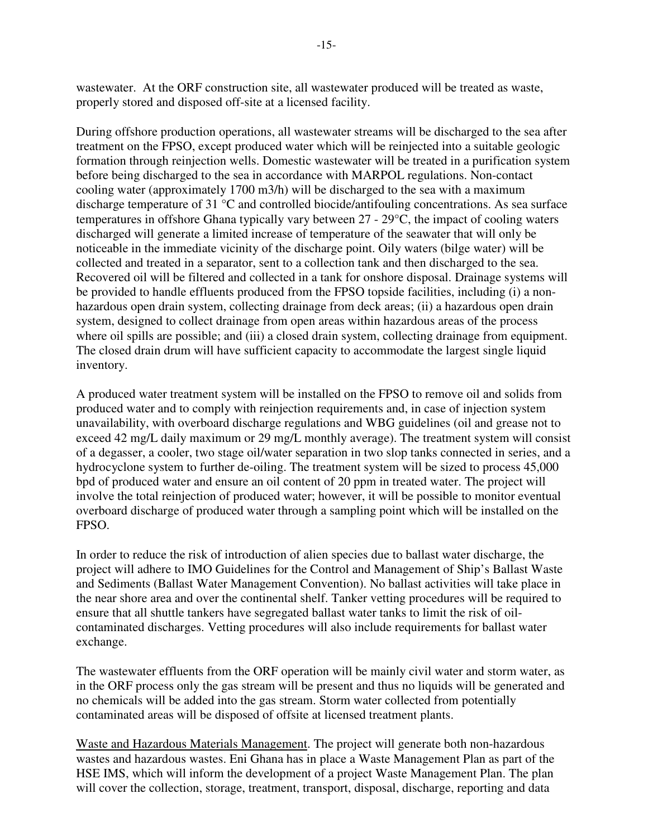wastewater. At the ORF construction site, all wastewater produced will be treated as waste, properly stored and disposed off-site at a licensed facility.

During offshore production operations, all wastewater streams will be discharged to the sea after treatment on the FPSO, except produced water which will be reinjected into a suitable geologic formation through reinjection wells. Domestic wastewater will be treated in a purification system before being discharged to the sea in accordance with MARPOL regulations. Non-contact cooling water (approximately 1700 m3/h) will be discharged to the sea with a maximum discharge temperature of 31 °C and controlled biocide/antifouling concentrations. As sea surface temperatures in offshore Ghana typically vary between 27 - 29°C, the impact of cooling waters discharged will generate a limited increase of temperature of the seawater that will only be noticeable in the immediate vicinity of the discharge point. Oily waters (bilge water) will be collected and treated in a separator, sent to a collection tank and then discharged to the sea. Recovered oil will be filtered and collected in a tank for onshore disposal. Drainage systems will be provided to handle effluents produced from the FPSO topside facilities, including (i) a nonhazardous open drain system, collecting drainage from deck areas; (ii) a hazardous open drain system, designed to collect drainage from open areas within hazardous areas of the process where oil spills are possible; and (iii) a closed drain system, collecting drainage from equipment. The closed drain drum will have sufficient capacity to accommodate the largest single liquid inventory.

A produced water treatment system will be installed on the FPSO to remove oil and solids from produced water and to comply with reinjection requirements and, in case of injection system unavailability, with overboard discharge regulations and WBG guidelines (oil and grease not to exceed 42 mg/L daily maximum or 29 mg/L monthly average). The treatment system will consist of a degasser, a cooler, two stage oil/water separation in two slop tanks connected in series, and a hydrocyclone system to further de-oiling. The treatment system will be sized to process 45,000 bpd of produced water and ensure an oil content of 20 ppm in treated water. The project will involve the total reinjection of produced water; however, it will be possible to monitor eventual overboard discharge of produced water through a sampling point which will be installed on the FPSO.

In order to reduce the risk of introduction of alien species due to ballast water discharge, the project will adhere to IMO Guidelines for the Control and Management of Ship's Ballast Waste and Sediments (Ballast Water Management Convention). No ballast activities will take place in the near shore area and over the continental shelf. Tanker vetting procedures will be required to ensure that all shuttle tankers have segregated ballast water tanks to limit the risk of oilcontaminated discharges. Vetting procedures will also include requirements for ballast water exchange.

The wastewater effluents from the ORF operation will be mainly civil water and storm water, as in the ORF process only the gas stream will be present and thus no liquids will be generated and no chemicals will be added into the gas stream. Storm water collected from potentially contaminated areas will be disposed of offsite at licensed treatment plants.

Waste and Hazardous Materials Management. The project will generate both non-hazardous wastes and hazardous wastes. Eni Ghana has in place a Waste Management Plan as part of the HSE IMS, which will inform the development of a project Waste Management Plan. The plan will cover the collection, storage, treatment, transport, disposal, discharge, reporting and data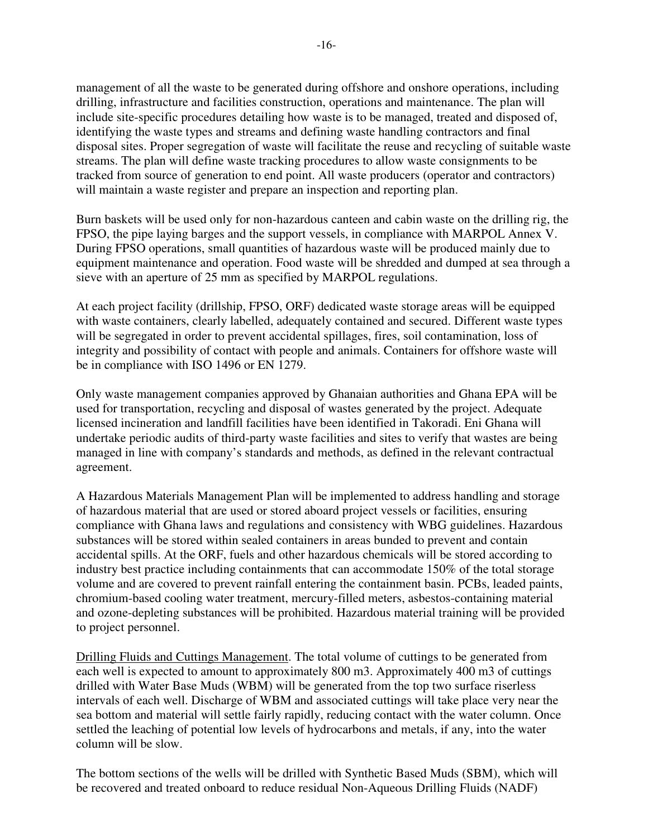management of all the waste to be generated during offshore and onshore operations, including drilling, infrastructure and facilities construction, operations and maintenance. The plan will include site-specific procedures detailing how waste is to be managed, treated and disposed of, identifying the waste types and streams and defining waste handling contractors and final disposal sites. Proper segregation of waste will facilitate the reuse and recycling of suitable waste streams. The plan will define waste tracking procedures to allow waste consignments to be tracked from source of generation to end point. All waste producers (operator and contractors) will maintain a waste register and prepare an inspection and reporting plan.

Burn baskets will be used only for non-hazardous canteen and cabin waste on the drilling rig, the FPSO, the pipe laying barges and the support vessels, in compliance with MARPOL Annex V. During FPSO operations, small quantities of hazardous waste will be produced mainly due to equipment maintenance and operation. Food waste will be shredded and dumped at sea through a sieve with an aperture of 25 mm as specified by MARPOL regulations.

At each project facility (drillship, FPSO, ORF) dedicated waste storage areas will be equipped with waste containers, clearly labelled, adequately contained and secured. Different waste types will be segregated in order to prevent accidental spillages, fires, soil contamination, loss of integrity and possibility of contact with people and animals. Containers for offshore waste will be in compliance with ISO 1496 or EN 1279.

Only waste management companies approved by Ghanaian authorities and Ghana EPA will be used for transportation, recycling and disposal of wastes generated by the project. Adequate licensed incineration and landfill facilities have been identified in Takoradi. Eni Ghana will undertake periodic audits of third-party waste facilities and sites to verify that wastes are being managed in line with company's standards and methods, as defined in the relevant contractual agreement.

A Hazardous Materials Management Plan will be implemented to address handling and storage of hazardous material that are used or stored aboard project vessels or facilities, ensuring compliance with Ghana laws and regulations and consistency with WBG guidelines. Hazardous substances will be stored within sealed containers in areas bunded to prevent and contain accidental spills. At the ORF, fuels and other hazardous chemicals will be stored according to industry best practice including containments that can accommodate 150% of the total storage volume and are covered to prevent rainfall entering the containment basin. PCBs, leaded paints, chromium-based cooling water treatment, mercury-filled meters, asbestos-containing material and ozone-depleting substances will be prohibited. Hazardous material training will be provided to project personnel.

Drilling Fluids and Cuttings Management. The total volume of cuttings to be generated from each well is expected to amount to approximately 800 m3. Approximately 400 m3 of cuttings drilled with Water Base Muds (WBM) will be generated from the top two surface riserless intervals of each well. Discharge of WBM and associated cuttings will take place very near the sea bottom and material will settle fairly rapidly, reducing contact with the water column. Once settled the leaching of potential low levels of hydrocarbons and metals, if any, into the water column will be slow.

The bottom sections of the wells will be drilled with Synthetic Based Muds (SBM), which will be recovered and treated onboard to reduce residual Non-Aqueous Drilling Fluids (NADF)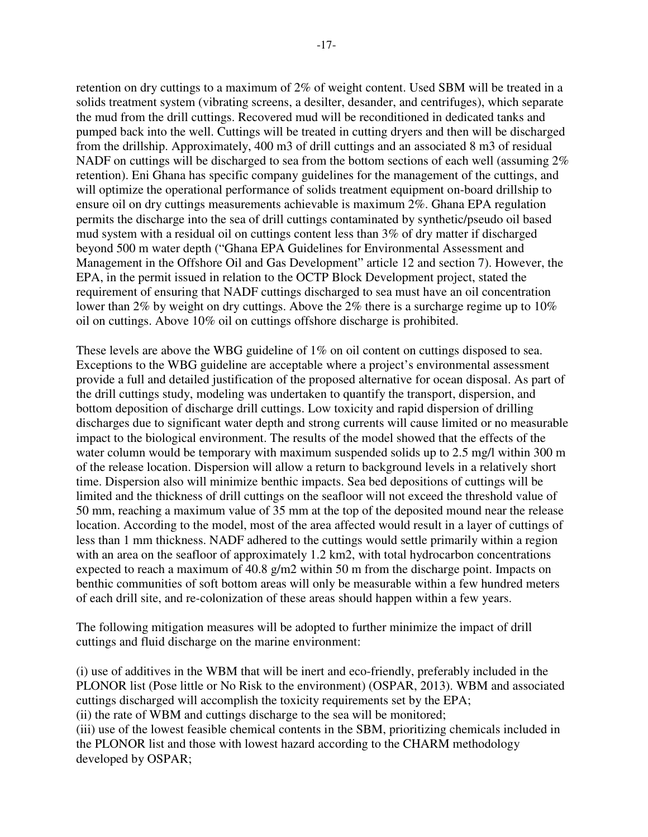retention on dry cuttings to a maximum of 2% of weight content. Used SBM will be treated in a solids treatment system (vibrating screens, a desilter, desander, and centrifuges), which separate the mud from the drill cuttings. Recovered mud will be reconditioned in dedicated tanks and pumped back into the well. Cuttings will be treated in cutting dryers and then will be discharged from the drillship. Approximately, 400 m3 of drill cuttings and an associated 8 m3 of residual NADF on cuttings will be discharged to sea from the bottom sections of each well (assuming  $2\%$ ) retention). Eni Ghana has specific company guidelines for the management of the cuttings, and will optimize the operational performance of solids treatment equipment on-board drillship to ensure oil on dry cuttings measurements achievable is maximum 2%. Ghana EPA regulation permits the discharge into the sea of drill cuttings contaminated by synthetic/pseudo oil based mud system with a residual oil on cuttings content less than 3% of dry matter if discharged beyond 500 m water depth ("Ghana EPA Guidelines for Environmental Assessment and Management in the Offshore Oil and Gas Development" article 12 and section 7). However, the EPA, in the permit issued in relation to the OCTP Block Development project, stated the requirement of ensuring that NADF cuttings discharged to sea must have an oil concentration lower than 2% by weight on dry cuttings. Above the 2% there is a surcharge regime up to 10% oil on cuttings. Above 10% oil on cuttings offshore discharge is prohibited.

These levels are above the WBG guideline of 1% on oil content on cuttings disposed to sea. Exceptions to the WBG guideline are acceptable where a project's environmental assessment provide a full and detailed justification of the proposed alternative for ocean disposal. As part of the drill cuttings study, modeling was undertaken to quantify the transport, dispersion, and bottom deposition of discharge drill cuttings. Low toxicity and rapid dispersion of drilling discharges due to significant water depth and strong currents will cause limited or no measurable impact to the biological environment. The results of the model showed that the effects of the water column would be temporary with maximum suspended solids up to 2.5 mg/l within 300 m of the release location. Dispersion will allow a return to background levels in a relatively short time. Dispersion also will minimize benthic impacts. Sea bed depositions of cuttings will be limited and the thickness of drill cuttings on the seafloor will not exceed the threshold value of 50 mm, reaching a maximum value of 35 mm at the top of the deposited mound near the release location. According to the model, most of the area affected would result in a layer of cuttings of less than 1 mm thickness. NADF adhered to the cuttings would settle primarily within a region with an area on the seafloor of approximately 1.2 km2, with total hydrocarbon concentrations expected to reach a maximum of 40.8 g/m2 within 50 m from the discharge point. Impacts on benthic communities of soft bottom areas will only be measurable within a few hundred meters of each drill site, and re-colonization of these areas should happen within a few years.

The following mitigation measures will be adopted to further minimize the impact of drill cuttings and fluid discharge on the marine environment:

(i) use of additives in the WBM that will be inert and eco-friendly, preferably included in the PLONOR list (Pose little or No Risk to the environment) (OSPAR, 2013). WBM and associated cuttings discharged will accomplish the toxicity requirements set by the EPA; (ii) the rate of WBM and cuttings discharge to the sea will be monitored; (iii) use of the lowest feasible chemical contents in the SBM, prioritizing chemicals included in the PLONOR list and those with lowest hazard according to the CHARM methodology developed by OSPAR;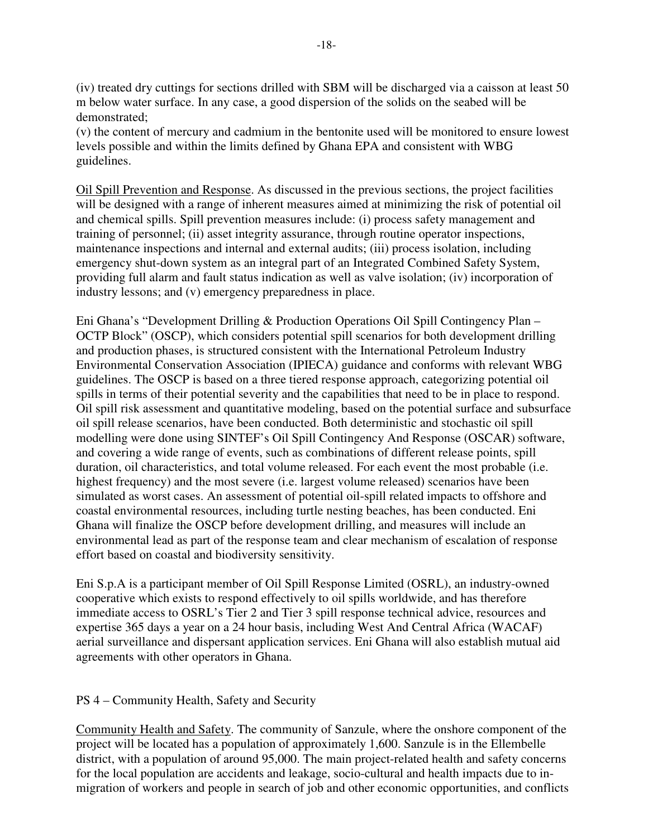(iv) treated dry cuttings for sections drilled with SBM will be discharged via a caisson at least 50 m below water surface. In any case, a good dispersion of the solids on the seabed will be demonstrated;

(v) the content of mercury and cadmium in the bentonite used will be monitored to ensure lowest levels possible and within the limits defined by Ghana EPA and consistent with WBG guidelines.

Oil Spill Prevention and Response. As discussed in the previous sections, the project facilities will be designed with a range of inherent measures aimed at minimizing the risk of potential oil and chemical spills. Spill prevention measures include: (i) process safety management and training of personnel; (ii) asset integrity assurance, through routine operator inspections, maintenance inspections and internal and external audits; (iii) process isolation, including emergency shut-down system as an integral part of an Integrated Combined Safety System, providing full alarm and fault status indication as well as valve isolation; (iv) incorporation of industry lessons; and (v) emergency preparedness in place.

Eni Ghana's "Development Drilling & Production Operations Oil Spill Contingency Plan – OCTP Block" (OSCP), which considers potential spill scenarios for both development drilling and production phases, is structured consistent with the International Petroleum Industry Environmental Conservation Association (IPIECA) guidance and conforms with relevant WBG guidelines. The OSCP is based on a three tiered response approach, categorizing potential oil spills in terms of their potential severity and the capabilities that need to be in place to respond. Oil spill risk assessment and quantitative modeling, based on the potential surface and subsurface oil spill release scenarios, have been conducted. Both deterministic and stochastic oil spill modelling were done using SINTEF's Oil Spill Contingency And Response (OSCAR) software, and covering a wide range of events, such as combinations of different release points, spill duration, oil characteristics, and total volume released. For each event the most probable (i.e. highest frequency) and the most severe (i.e. largest volume released) scenarios have been simulated as worst cases. An assessment of potential oil-spill related impacts to offshore and coastal environmental resources, including turtle nesting beaches, has been conducted. Eni Ghana will finalize the OSCP before development drilling, and measures will include an environmental lead as part of the response team and clear mechanism of escalation of response effort based on coastal and biodiversity sensitivity.

Eni S.p.A is a participant member of Oil Spill Response Limited (OSRL), an industry-owned cooperative which exists to respond effectively to oil spills worldwide, and has therefore immediate access to OSRL's Tier 2 and Tier 3 spill response technical advice, resources and expertise 365 days a year on a 24 hour basis, including West And Central Africa (WACAF) aerial surveillance and dispersant application services. Eni Ghana will also establish mutual aid agreements with other operators in Ghana.

# PS 4 – Community Health, Safety and Security

Community Health and Safety. The community of Sanzule, where the onshore component of the project will be located has a population of approximately 1,600. Sanzule is in the Ellembelle district, with a population of around 95,000. The main project-related health and safety concerns for the local population are accidents and leakage, socio-cultural and health impacts due to inmigration of workers and people in search of job and other economic opportunities, and conflicts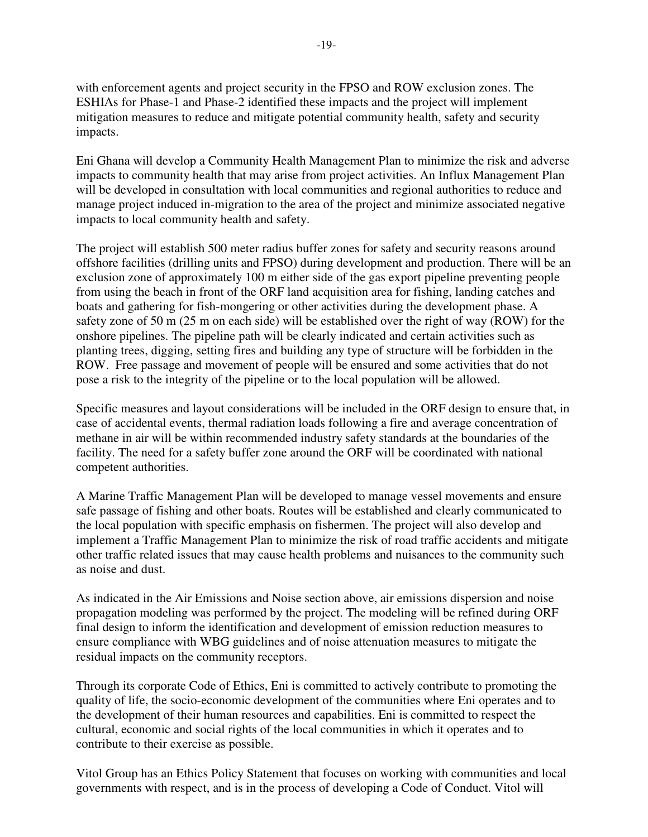with enforcement agents and project security in the FPSO and ROW exclusion zones. The ESHIAs for Phase-1 and Phase-2 identified these impacts and the project will implement mitigation measures to reduce and mitigate potential community health, safety and security impacts.

Eni Ghana will develop a Community Health Management Plan to minimize the risk and adverse impacts to community health that may arise from project activities. An Influx Management Plan will be developed in consultation with local communities and regional authorities to reduce and manage project induced in-migration to the area of the project and minimize associated negative impacts to local community health and safety.

The project will establish 500 meter radius buffer zones for safety and security reasons around offshore facilities (drilling units and FPSO) during development and production. There will be an exclusion zone of approximately 100 m either side of the gas export pipeline preventing people from using the beach in front of the ORF land acquisition area for fishing, landing catches and boats and gathering for fish-mongering or other activities during the development phase. A safety zone of 50 m (25 m on each side) will be established over the right of way (ROW) for the onshore pipelines. The pipeline path will be clearly indicated and certain activities such as planting trees, digging, setting fires and building any type of structure will be forbidden in the ROW. Free passage and movement of people will be ensured and some activities that do not pose a risk to the integrity of the pipeline or to the local population will be allowed.

Specific measures and layout considerations will be included in the ORF design to ensure that, in case of accidental events, thermal radiation loads following a fire and average concentration of methane in air will be within recommended industry safety standards at the boundaries of the facility. The need for a safety buffer zone around the ORF will be coordinated with national competent authorities.

A Marine Traffic Management Plan will be developed to manage vessel movements and ensure safe passage of fishing and other boats. Routes will be established and clearly communicated to the local population with specific emphasis on fishermen. The project will also develop and implement a Traffic Management Plan to minimize the risk of road traffic accidents and mitigate other traffic related issues that may cause health problems and nuisances to the community such as noise and dust.

As indicated in the Air Emissions and Noise section above, air emissions dispersion and noise propagation modeling was performed by the project. The modeling will be refined during ORF final design to inform the identification and development of emission reduction measures to ensure compliance with WBG guidelines and of noise attenuation measures to mitigate the residual impacts on the community receptors.

Through its corporate Code of Ethics, Eni is committed to actively contribute to promoting the quality of life, the socio-economic development of the communities where Eni operates and to the development of their human resources and capabilities. Eni is committed to respect the cultural, economic and social rights of the local communities in which it operates and to contribute to their exercise as possible.

Vitol Group has an Ethics Policy Statement that focuses on working with communities and local governments with respect, and is in the process of developing a Code of Conduct. Vitol will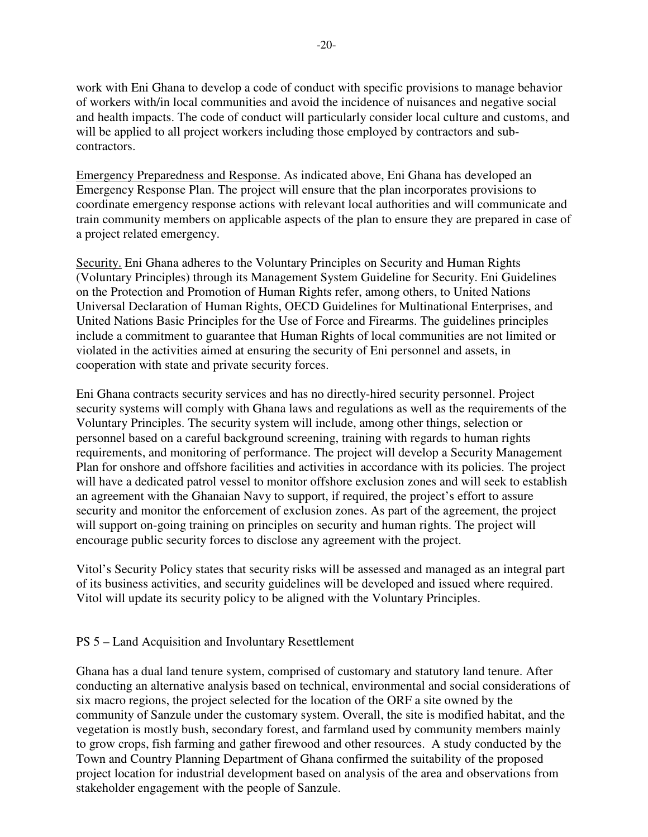work with Eni Ghana to develop a code of conduct with specific provisions to manage behavior of workers with/in local communities and avoid the incidence of nuisances and negative social and health impacts. The code of conduct will particularly consider local culture and customs, and will be applied to all project workers including those employed by contractors and subcontractors.

Emergency Preparedness and Response. As indicated above, Eni Ghana has developed an Emergency Response Plan. The project will ensure that the plan incorporates provisions to coordinate emergency response actions with relevant local authorities and will communicate and train community members on applicable aspects of the plan to ensure they are prepared in case of a project related emergency.

Security. Eni Ghana adheres to the Voluntary Principles on Security and Human Rights (Voluntary Principles) through its Management System Guideline for Security. Eni Guidelines on the Protection and Promotion of Human Rights refer, among others, to United Nations Universal Declaration of Human Rights, OECD Guidelines for Multinational Enterprises, and United Nations Basic Principles for the Use of Force and Firearms. The guidelines principles include a commitment to guarantee that Human Rights of local communities are not limited or violated in the activities aimed at ensuring the security of Eni personnel and assets, in cooperation with state and private security forces.

Eni Ghana contracts security services and has no directly-hired security personnel. Project security systems will comply with Ghana laws and regulations as well as the requirements of the Voluntary Principles. The security system will include, among other things, selection or personnel based on a careful background screening, training with regards to human rights requirements, and monitoring of performance. The project will develop a Security Management Plan for onshore and offshore facilities and activities in accordance with its policies. The project will have a dedicated patrol vessel to monitor offshore exclusion zones and will seek to establish an agreement with the Ghanaian Navy to support, if required, the project's effort to assure security and monitor the enforcement of exclusion zones. As part of the agreement, the project will support on-going training on principles on security and human rights. The project will encourage public security forces to disclose any agreement with the project.

Vitol's Security Policy states that security risks will be assessed and managed as an integral part of its business activities, and security guidelines will be developed and issued where required. Vitol will update its security policy to be aligned with the Voluntary Principles.

## PS 5 – Land Acquisition and Involuntary Resettlement

Ghana has a dual land tenure system, comprised of customary and statutory land tenure. After conducting an alternative analysis based on technical, environmental and social considerations of six macro regions, the project selected for the location of the ORF a site owned by the community of Sanzule under the customary system. Overall, the site is modified habitat, and the vegetation is mostly bush, secondary forest, and farmland used by community members mainly to grow crops, fish farming and gather firewood and other resources. A study conducted by the Town and Country Planning Department of Ghana confirmed the suitability of the proposed project location for industrial development based on analysis of the area and observations from stakeholder engagement with the people of Sanzule.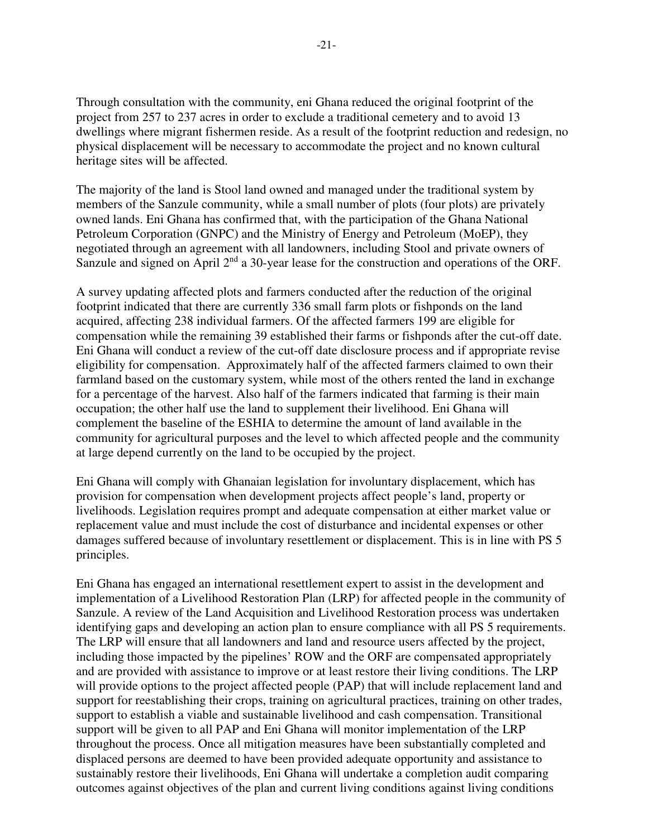Through consultation with the community, eni Ghana reduced the original footprint of the project from 257 to 237 acres in order to exclude a traditional cemetery and to avoid 13 dwellings where migrant fishermen reside. As a result of the footprint reduction and redesign, no physical displacement will be necessary to accommodate the project and no known cultural heritage sites will be affected.

The majority of the land is Stool land owned and managed under the traditional system by members of the Sanzule community, while a small number of plots (four plots) are privately owned lands. Eni Ghana has confirmed that, with the participation of the Ghana National Petroleum Corporation (GNPC) and the Ministry of Energy and Petroleum (MoEP), they negotiated through an agreement with all landowners, including Stool and private owners of Sanzule and signed on April 2<sup>nd</sup> a 30-year lease for the construction and operations of the ORF.

A survey updating affected plots and farmers conducted after the reduction of the original footprint indicated that there are currently 336 small farm plots or fishponds on the land acquired, affecting 238 individual farmers. Of the affected farmers 199 are eligible for compensation while the remaining 39 established their farms or fishponds after the cut-off date. Eni Ghana will conduct a review of the cut-off date disclosure process and if appropriate revise eligibility for compensation. Approximately half of the affected farmers claimed to own their farmland based on the customary system, while most of the others rented the land in exchange for a percentage of the harvest. Also half of the farmers indicated that farming is their main occupation; the other half use the land to supplement their livelihood. Eni Ghana will complement the baseline of the ESHIA to determine the amount of land available in the community for agricultural purposes and the level to which affected people and the community at large depend currently on the land to be occupied by the project.

Eni Ghana will comply with Ghanaian legislation for involuntary displacement, which has provision for compensation when development projects affect people's land, property or livelihoods. Legislation requires prompt and adequate compensation at either market value or replacement value and must include the cost of disturbance and incidental expenses or other damages suffered because of involuntary resettlement or displacement. This is in line with PS 5 principles.

Eni Ghana has engaged an international resettlement expert to assist in the development and implementation of a Livelihood Restoration Plan (LRP) for affected people in the community of Sanzule. A review of the Land Acquisition and Livelihood Restoration process was undertaken identifying gaps and developing an action plan to ensure compliance with all PS 5 requirements. The LRP will ensure that all landowners and land and resource users affected by the project, including those impacted by the pipelines' ROW and the ORF are compensated appropriately and are provided with assistance to improve or at least restore their living conditions. The LRP will provide options to the project affected people (PAP) that will include replacement land and support for reestablishing their crops, training on agricultural practices, training on other trades, support to establish a viable and sustainable livelihood and cash compensation. Transitional support will be given to all PAP and Eni Ghana will monitor implementation of the LRP throughout the process. Once all mitigation measures have been substantially completed and displaced persons are deemed to have been provided adequate opportunity and assistance to sustainably restore their livelihoods, Eni Ghana will undertake a completion audit comparing outcomes against objectives of the plan and current living conditions against living conditions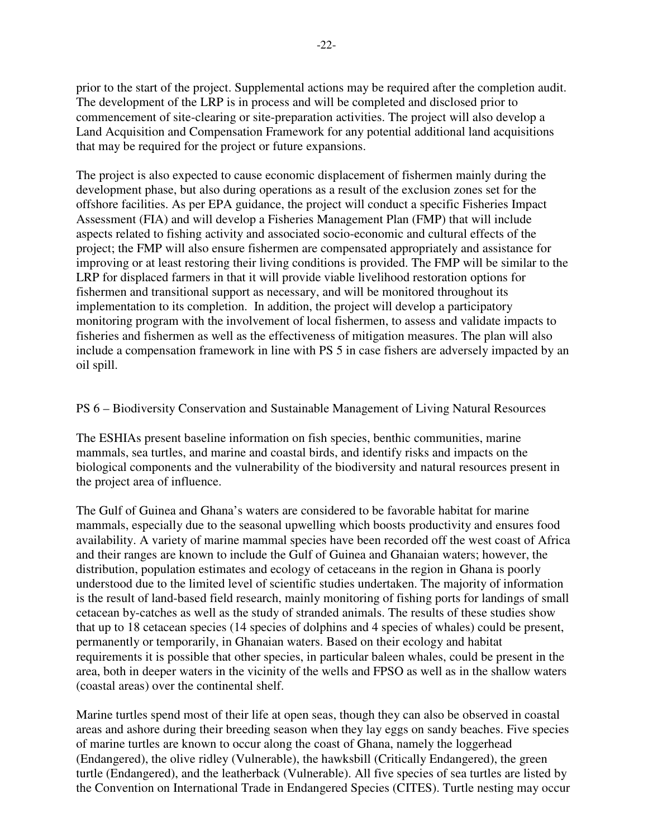prior to the start of the project. Supplemental actions may be required after the completion audit. The development of the LRP is in process and will be completed and disclosed prior to commencement of site-clearing or site-preparation activities. The project will also develop a Land Acquisition and Compensation Framework for any potential additional land acquisitions that may be required for the project or future expansions.

The project is also expected to cause economic displacement of fishermen mainly during the development phase, but also during operations as a result of the exclusion zones set for the offshore facilities. As per EPA guidance, the project will conduct a specific Fisheries Impact Assessment (FIA) and will develop a Fisheries Management Plan (FMP) that will include aspects related to fishing activity and associated socio-economic and cultural effects of the project; the FMP will also ensure fishermen are compensated appropriately and assistance for improving or at least restoring their living conditions is provided. The FMP will be similar to the LRP for displaced farmers in that it will provide viable livelihood restoration options for fishermen and transitional support as necessary, and will be monitored throughout its implementation to its completion. In addition, the project will develop a participatory monitoring program with the involvement of local fishermen, to assess and validate impacts to fisheries and fishermen as well as the effectiveness of mitigation measures. The plan will also include a compensation framework in line with PS 5 in case fishers are adversely impacted by an oil spill.

### PS 6 – Biodiversity Conservation and Sustainable Management of Living Natural Resources

The ESHIAs present baseline information on fish species, benthic communities, marine mammals, sea turtles, and marine and coastal birds, and identify risks and impacts on the biological components and the vulnerability of the biodiversity and natural resources present in the project area of influence.

The Gulf of Guinea and Ghana's waters are considered to be favorable habitat for marine mammals, especially due to the seasonal upwelling which boosts productivity and ensures food availability. A variety of marine mammal species have been recorded off the west coast of Africa and their ranges are known to include the Gulf of Guinea and Ghanaian waters; however, the distribution, population estimates and ecology of cetaceans in the region in Ghana is poorly understood due to the limited level of scientific studies undertaken. The majority of information is the result of land-based field research, mainly monitoring of fishing ports for landings of small cetacean by-catches as well as the study of stranded animals. The results of these studies show that up to 18 cetacean species (14 species of dolphins and 4 species of whales) could be present, permanently or temporarily, in Ghanaian waters. Based on their ecology and habitat requirements it is possible that other species, in particular baleen whales, could be present in the area, both in deeper waters in the vicinity of the wells and FPSO as well as in the shallow waters (coastal areas) over the continental shelf.

Marine turtles spend most of their life at open seas, though they can also be observed in coastal areas and ashore during their breeding season when they lay eggs on sandy beaches. Five species of marine turtles are known to occur along the coast of Ghana, namely the loggerhead (Endangered), the olive ridley (Vulnerable), the hawksbill (Critically Endangered), the green turtle (Endangered), and the leatherback (Vulnerable). All five species of sea turtles are listed by the Convention on International Trade in Endangered Species (CITES). Turtle nesting may occur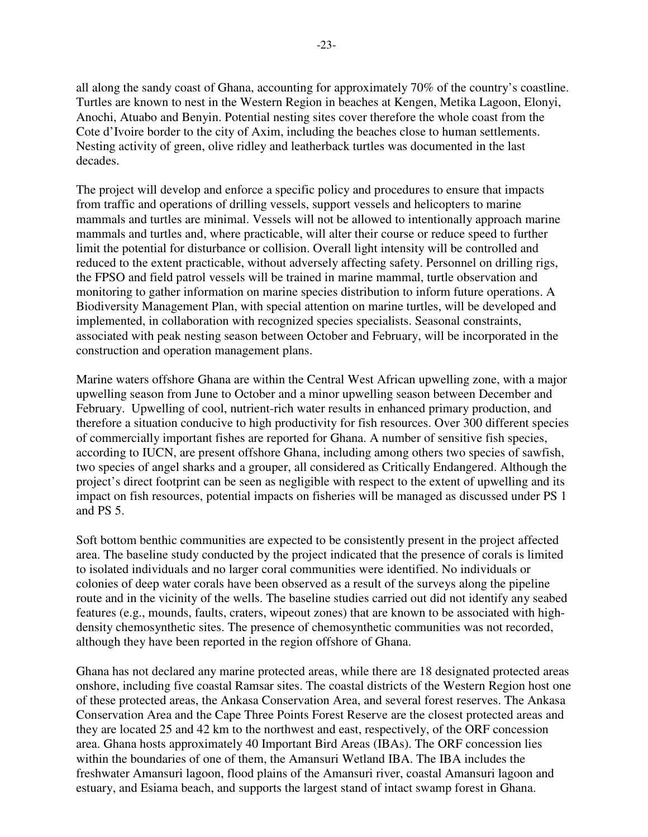all along the sandy coast of Ghana, accounting for approximately 70% of the country's coastline. Turtles are known to nest in the Western Region in beaches at Kengen, Metika Lagoon, Elonyi, Anochi, Atuabo and Benyin. Potential nesting sites cover therefore the whole coast from the Cote d'Ivoire border to the city of Axim, including the beaches close to human settlements. Nesting activity of green, olive ridley and leatherback turtles was documented in the last decades.

The project will develop and enforce a specific policy and procedures to ensure that impacts from traffic and operations of drilling vessels, support vessels and helicopters to marine mammals and turtles are minimal. Vessels will not be allowed to intentionally approach marine mammals and turtles and, where practicable, will alter their course or reduce speed to further limit the potential for disturbance or collision. Overall light intensity will be controlled and reduced to the extent practicable, without adversely affecting safety. Personnel on drilling rigs, the FPSO and field patrol vessels will be trained in marine mammal, turtle observation and monitoring to gather information on marine species distribution to inform future operations. A Biodiversity Management Plan, with special attention on marine turtles, will be developed and implemented, in collaboration with recognized species specialists. Seasonal constraints, associated with peak nesting season between October and February, will be incorporated in the construction and operation management plans.

Marine waters offshore Ghana are within the Central West African upwelling zone, with a major upwelling season from June to October and a minor upwelling season between December and February. Upwelling of cool, nutrient-rich water results in enhanced primary production, and therefore a situation conducive to high productivity for fish resources. Over 300 different species of commercially important fishes are reported for Ghana. A number of sensitive fish species, according to IUCN, are present offshore Ghana, including among others two species of sawfish, two species of angel sharks and a grouper, all considered as Critically Endangered. Although the project's direct footprint can be seen as negligible with respect to the extent of upwelling and its impact on fish resources, potential impacts on fisheries will be managed as discussed under PS 1 and PS 5.

Soft bottom benthic communities are expected to be consistently present in the project affected area. The baseline study conducted by the project indicated that the presence of corals is limited to isolated individuals and no larger coral communities were identified. No individuals or colonies of deep water corals have been observed as a result of the surveys along the pipeline route and in the vicinity of the wells. The baseline studies carried out did not identify any seabed features (e.g., mounds, faults, craters, wipeout zones) that are known to be associated with highdensity chemosynthetic sites. The presence of chemosynthetic communities was not recorded, although they have been reported in the region offshore of Ghana.

Ghana has not declared any marine protected areas, while there are 18 designated protected areas onshore, including five coastal Ramsar sites. The coastal districts of the Western Region host one of these protected areas, the Ankasa Conservation Area, and several forest reserves. The Ankasa Conservation Area and the Cape Three Points Forest Reserve are the closest protected areas and they are located 25 and 42 km to the northwest and east, respectively, of the ORF concession area. Ghana hosts approximately 40 Important Bird Areas (IBAs). The ORF concession lies within the boundaries of one of them, the Amansuri Wetland IBA. The IBA includes the freshwater Amansuri lagoon, flood plains of the Amansuri river, coastal Amansuri lagoon and estuary, and Esiama beach, and supports the largest stand of intact swamp forest in Ghana.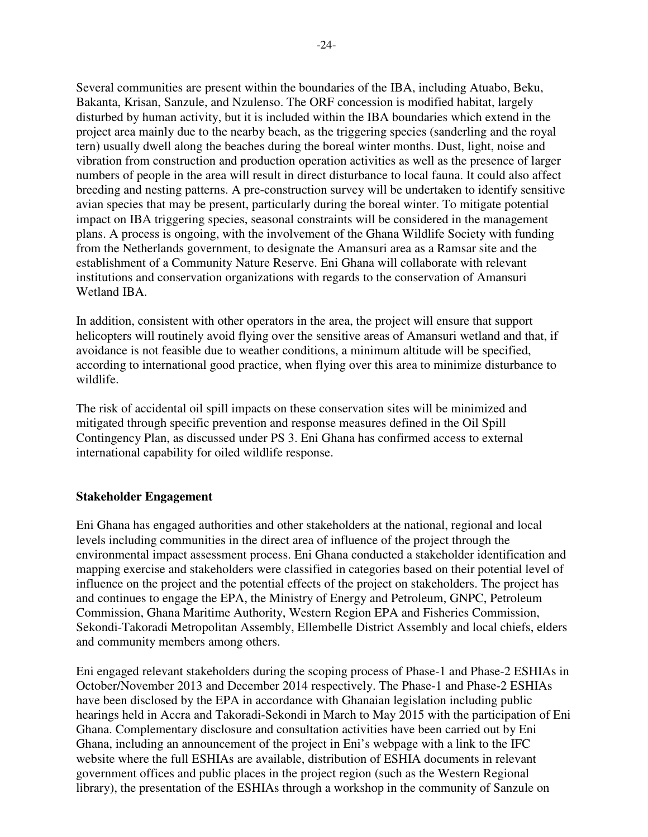Several communities are present within the boundaries of the IBA, including Atuabo, Beku, Bakanta, Krisan, Sanzule, and Nzulenso. The ORF concession is modified habitat, largely disturbed by human activity, but it is included within the IBA boundaries which extend in the project area mainly due to the nearby beach, as the triggering species (sanderling and the royal tern) usually dwell along the beaches during the boreal winter months. Dust, light, noise and vibration from construction and production operation activities as well as the presence of larger numbers of people in the area will result in direct disturbance to local fauna. It could also affect breeding and nesting patterns. A pre-construction survey will be undertaken to identify sensitive avian species that may be present, particularly during the boreal winter. To mitigate potential impact on IBA triggering species, seasonal constraints will be considered in the management plans. A process is ongoing, with the involvement of the Ghana Wildlife Society with funding from the Netherlands government, to designate the Amansuri area as a Ramsar site and the establishment of a Community Nature Reserve. Eni Ghana will collaborate with relevant institutions and conservation organizations with regards to the conservation of Amansuri Wetland IBA.

In addition, consistent with other operators in the area, the project will ensure that support helicopters will routinely avoid flying over the sensitive areas of Amansuri wetland and that, if avoidance is not feasible due to weather conditions, a minimum altitude will be specified, according to international good practice, when flying over this area to minimize disturbance to wildlife.

The risk of accidental oil spill impacts on these conservation sites will be minimized and mitigated through specific prevention and response measures defined in the Oil Spill Contingency Plan, as discussed under PS 3. Eni Ghana has confirmed access to external international capability for oiled wildlife response.

## **Stakeholder Engagement**

Eni Ghana has engaged authorities and other stakeholders at the national, regional and local levels including communities in the direct area of influence of the project through the environmental impact assessment process. Eni Ghana conducted a stakeholder identification and mapping exercise and stakeholders were classified in categories based on their potential level of influence on the project and the potential effects of the project on stakeholders. The project has and continues to engage the EPA, the Ministry of Energy and Petroleum, GNPC, Petroleum Commission, Ghana Maritime Authority, Western Region EPA and Fisheries Commission, Sekondi-Takoradi Metropolitan Assembly, Ellembelle District Assembly and local chiefs, elders and community members among others.

Eni engaged relevant stakeholders during the scoping process of Phase-1 and Phase-2 ESHIAs in October/November 2013 and December 2014 respectively. The Phase-1 and Phase-2 ESHIAs have been disclosed by the EPA in accordance with Ghanaian legislation including public hearings held in Accra and Takoradi-Sekondi in March to May 2015 with the participation of Eni Ghana. Complementary disclosure and consultation activities have been carried out by Eni Ghana, including an announcement of the project in Eni's webpage with a link to the IFC website where the full ESHIAs are available, distribution of ESHIA documents in relevant government offices and public places in the project region (such as the Western Regional library), the presentation of the ESHIAs through a workshop in the community of Sanzule on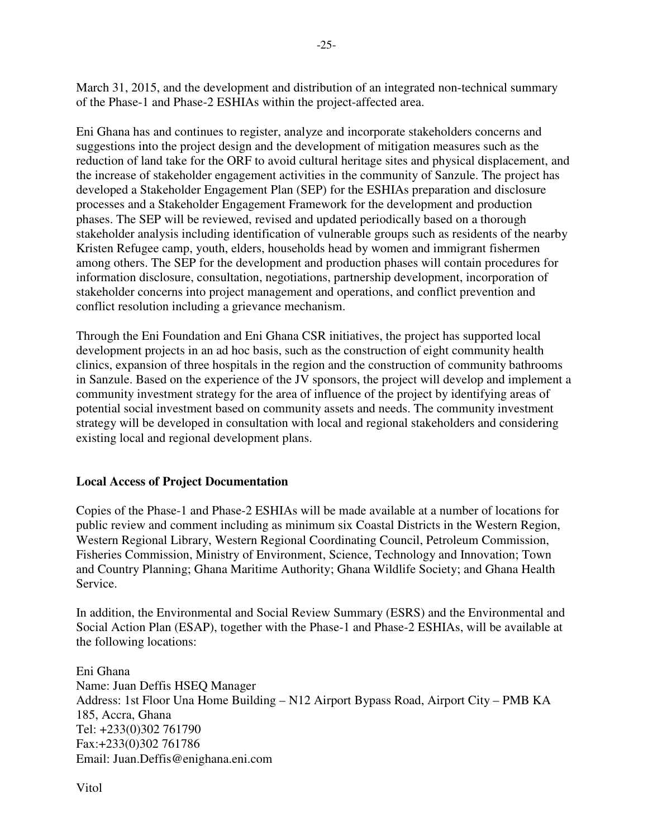March 31, 2015, and the development and distribution of an integrated non-technical summary of the Phase-1 and Phase-2 ESHIAs within the project-affected area.

Eni Ghana has and continues to register, analyze and incorporate stakeholders concerns and suggestions into the project design and the development of mitigation measures such as the reduction of land take for the ORF to avoid cultural heritage sites and physical displacement, and the increase of stakeholder engagement activities in the community of Sanzule. The project has developed a Stakeholder Engagement Plan (SEP) for the ESHIAs preparation and disclosure processes and a Stakeholder Engagement Framework for the development and production phases. The SEP will be reviewed, revised and updated periodically based on a thorough stakeholder analysis including identification of vulnerable groups such as residents of the nearby Kristen Refugee camp, youth, elders, households head by women and immigrant fishermen among others. The SEP for the development and production phases will contain procedures for information disclosure, consultation, negotiations, partnership development, incorporation of stakeholder concerns into project management and operations, and conflict prevention and conflict resolution including a grievance mechanism.

Through the Eni Foundation and Eni Ghana CSR initiatives, the project has supported local development projects in an ad hoc basis, such as the construction of eight community health clinics, expansion of three hospitals in the region and the construction of community bathrooms in Sanzule. Based on the experience of the JV sponsors, the project will develop and implement a community investment strategy for the area of influence of the project by identifying areas of potential social investment based on community assets and needs. The community investment strategy will be developed in consultation with local and regional stakeholders and considering existing local and regional development plans.

# **Local Access of Project Documentation**

Copies of the Phase-1 and Phase-2 ESHIAs will be made available at a number of locations for public review and comment including as minimum six Coastal Districts in the Western Region, Western Regional Library, Western Regional Coordinating Council, Petroleum Commission, Fisheries Commission, Ministry of Environment, Science, Technology and Innovation; Town and Country Planning; Ghana Maritime Authority; Ghana Wildlife Society; and Ghana Health Service.

In addition, the Environmental and Social Review Summary (ESRS) and the Environmental and Social Action Plan (ESAP), together with the Phase-1 and Phase-2 ESHIAs, will be available at the following locations:

Eni Ghana Name: Juan Deffis HSEQ Manager Address: 1st Floor Una Home Building – N12 Airport Bypass Road, Airport City – PMB KA 185, Accra, Ghana Tel: +233(0)302 761790 Fax:+233(0)302 761786 Email: Juan.Deffis@enighana.eni.com